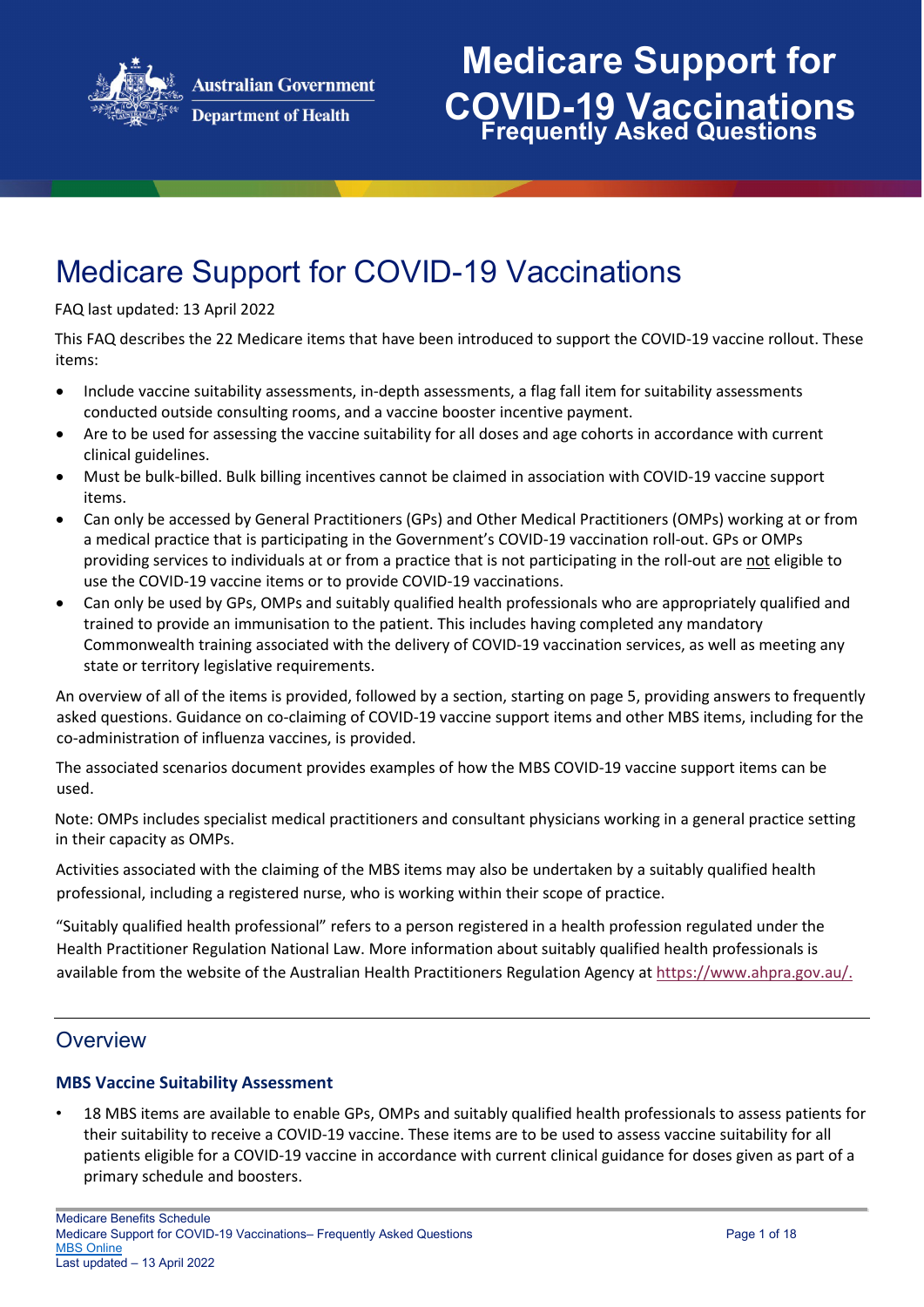

## Medicare Support for COVID-19 Vaccinations

#### FAQ last updated: 13 April 2022

This FAQ describes the 22 Medicare items that have been introduced to support the COVID-19 vaccine rollout. These items:

- Include vaccine suitability assessments, in-depth assessments, a flag fall item for suitability assessments conducted outside consulting rooms, and a vaccine booster incentive payment.
- Are to be used for assessing the vaccine suitability for all doses and age cohorts in accordance with current clinical guidelines.
- Must be bulk-billed. Bulk billing incentives cannot be claimed in association with COVID-19 vaccine support items.
- Can only be accessed by General Practitioners (GPs) and Other Medical Practitioners (OMPs) working at or from a medical practice that is participating in the Government's COVID-19 vaccination roll-out. GPs or OMPs providing services to individuals at or from a practice that is not participating in the roll-out are not eligible to use the COVID-19 vaccine items or to provide COVID-19 vaccinations.
- Can only be used by GPs, OMPs and suitably qualified health professionals who are appropriately qualified and trained to provide an immunisation to the patient. This includes having completed any mandatory Commonwealth training associated with the delivery of COVID-19 vaccination services, as well as meeting any state or territory legislative requirements.

An overview of all of the items is provided, followed by a section, starting on page 5, providing answers to frequently asked questions. Guidance on co-claiming of COVID-19 vaccine support items and other MBS items, including for the co-administration of influenza vaccines, is provided.

The associated scenarios document provides examples of how the MBS COVID-19 vaccine support items can be used.

Note: OMPs includes specialist medical practitioners and consultant physicians working in a general practice setting in their capacity as OMPs.

Activities associated with the claiming of the MBS items may also be undertaken by a suitably qualified health professional, including a registered nurse, who is working within their scope of practice.

"Suitably qualified health professional" refers to a person registered in a health profession regulated under the Health Practitioner Regulation National Law. More information about suitably qualified health professionals is available from the website of the Australian Health Practitioners Regulation Agency at [https://www.ahpra.gov.au/.](https://www.ahpra.gov.au/)

### **Overview**

#### **MBS Vaccine Suitability Assessment**

• 18 MBS items are available to enable GPs, OMPs and suitably qualified health professionals to assess patients for their suitability to receive a COVID-19 vaccine. These items are to be used to assess vaccine suitability for all patients eligible for a COVID-19 vaccine in accordance with current clinical guidance for doses given as part of a primary schedule and boosters.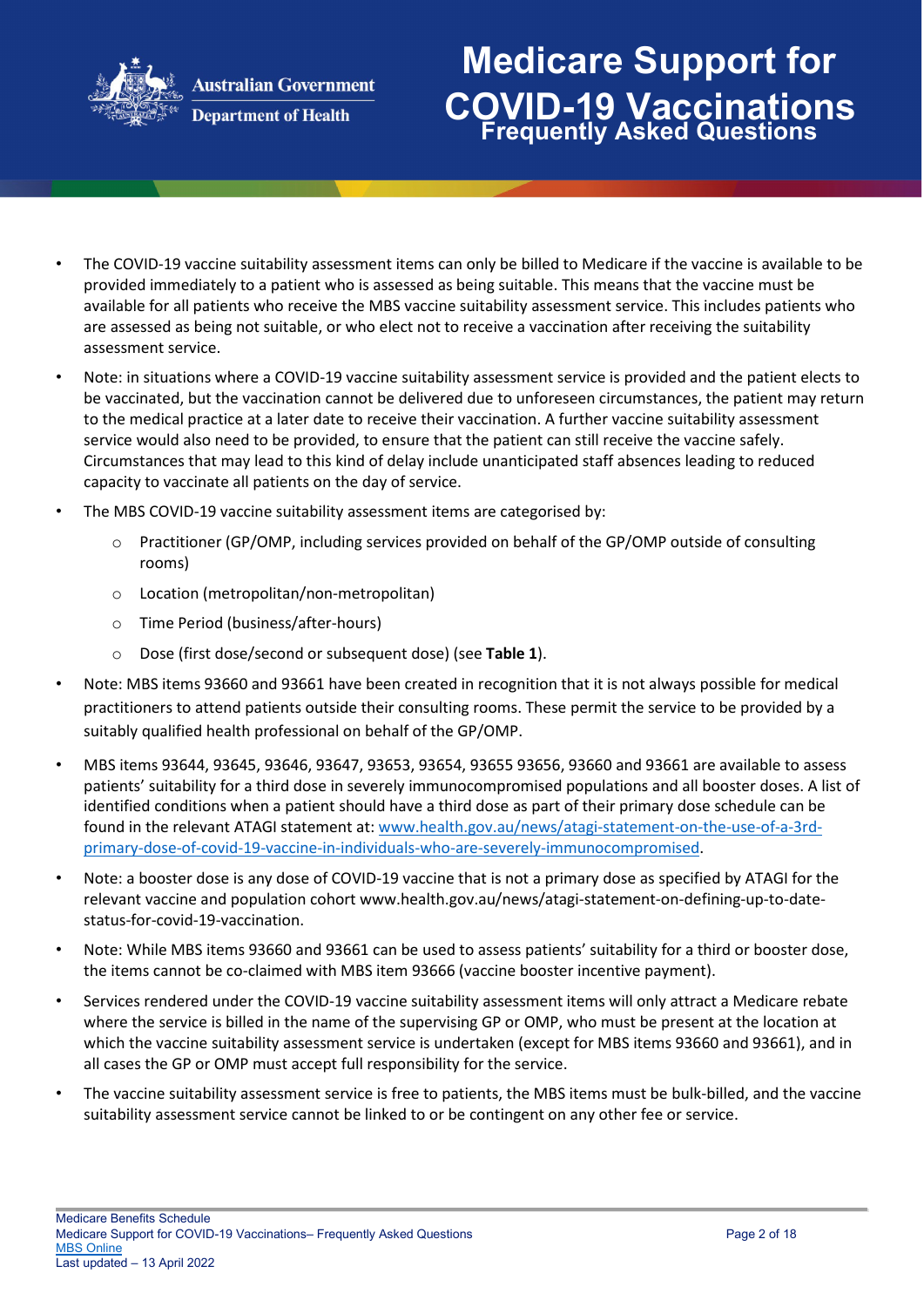

**Department of Health** 

# **Medicare Support for COVID-19 Vaccinations Frequently Asked Questions**

- The COVID-19 vaccine suitability assessment items can only be billed to Medicare if the vaccine is available to be provided immediately to a patient who is assessed as being suitable. This means that the vaccine must be available for all patients who receive the MBS vaccine suitability assessment service. This includes patients who are assessed as being not suitable, or who elect not to receive a vaccination after receiving the suitability assessment service.
- Note: in situations where a COVID-19 vaccine suitability assessment service is provided and the patient elects to be vaccinated, but the vaccination cannot be delivered due to unforeseen circumstances, the patient may return to the medical practice at a later date to receive their vaccination. A further vaccine suitability assessment service would also need to be provided, to ensure that the patient can still receive the vaccine safely. Circumstances that may lead to this kind of delay include unanticipated staff absences leading to reduced capacity to vaccinate all patients on the day of service.
- The MBS COVID-19 vaccine suitability assessment items are categorised by:
	- o Practitioner (GP/OMP, including services provided on behalf of the GP/OMP outside of consulting rooms)
	- o Location (metropolitan/non-metropolitan)
	- o Time Period (business/after-hours)
	- o Dose (first dose/second or subsequent dose) (see **Table 1**).
- Note: MBS items 93660 and 93661 have been created in recognition that it is not always possible for medical practitioners to attend patients outside their consulting rooms. These permit the service to be provided by a suitably qualified health professional on behalf of the GP/OMP.
- MBS items 93644, 93645, 93646, 93647, 93653, 93654, 93655 93656, 93660 and 93661 are available to assess patients' suitability for a third dose in severely immunocompromised populations and all booster doses. A list of identified conditions when a patient should have a third dose as part of their primary dose schedule can be found in the relevant ATAGI statement at: [www.health.gov.au/news/atagi-statement-on-the-use-of-a-3rd](http://www.health.gov.au/news/atagi-statement-on-the-use-of-a-3rd-primary-dose-of-covid-19-vaccine-in-individuals-who-are-severely-immunocompromised)[primary-dose-of-covid-19-vaccine-in-individuals-who-are-severely-immunocompromised.](http://www.health.gov.au/news/atagi-statement-on-the-use-of-a-3rd-primary-dose-of-covid-19-vaccine-in-individuals-who-are-severely-immunocompromised)
- Note: a booster dose is any dose of COVID-19 vaccine that is not a primary dose as specified by ATAGI for the relevant vaccine and population cohort www.health.gov.au/news/atagi-statement-on-defining-up-to-datestatus-for-covid-19-vaccination.
- Note: While MBS items 93660 and 93661 can be used to assess patients' suitability for a third or booster dose, the items cannot be co-claimed with MBS item 93666 (vaccine booster incentive payment).
- Services rendered under the COVID-19 vaccine suitability assessment items will only attract a Medicare rebate where the service is billed in the name of the supervising GP or OMP, who must be present at the location at which the vaccine suitability assessment service is undertaken (except for MBS items 93660 and 93661), and in all cases the GP or OMP must accept full responsibility for the service.
- The vaccine suitability assessment service is free to patients, the MBS items must be bulk-billed, and the vaccine suitability assessment service cannot be linked to or be contingent on any other fee or service.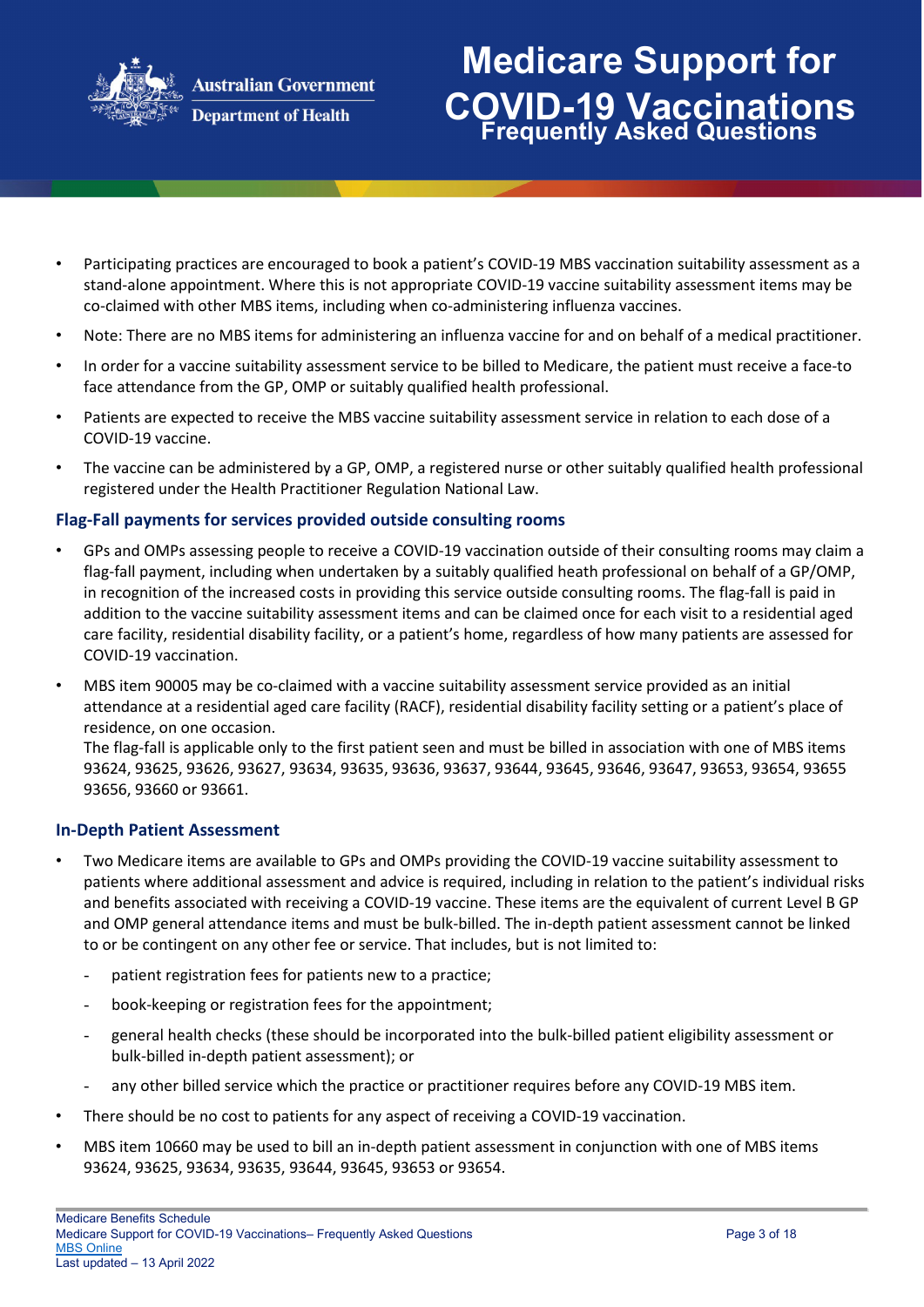

## **Medicare Support for COVID-19 Vaccinations Frequently Asked Questions**

- Participating practices are encouraged to book a patient's COVID-19 MBS vaccination suitability assessment as a stand-alone appointment. Where this is not appropriate COVID-19 vaccine suitability assessment items may be co-claimed with other MBS items, including when co-administering influenza vaccines.
- Note: There are no MBS items for administering an influenza vaccine for and on behalf of a medical practitioner.
- In order for a vaccine suitability assessment service to be billed to Medicare, the patient must receive a face-to face attendance from the GP, OMP or suitably qualified health professional.
- Patients are expected to receive the MBS vaccine suitability assessment service in relation to each dose of a COVID-19 vaccine.
- The vaccine can be administered by a GP, OMP, a registered nurse or other suitably qualified health professional registered under the Health Practitioner Regulation National Law.

### **Flag-Fall payments for services provided outside consulting rooms**

- GPs and OMPs assessing people to receive a COVID-19 vaccination outside of their consulting rooms may claim a flag-fall payment, including when undertaken by a suitably qualified heath professional on behalf of a GP/OMP, in recognition of the increased costs in providing this service outside consulting rooms. The flag-fall is paid in addition to the vaccine suitability assessment items and can be claimed once for each visit to a residential aged care facility, residential disability facility, or a patient's home, regardless of how many patients are assessed for COVID-19 vaccination.
- MBS item 90005 may be co-claimed with a vaccine suitability assessment service provided as an initial attendance at a residential aged care facility (RACF), residential disability facility setting or a patient's place of residence, on one occasion.

The flag-fall is applicable only to the first patient seen and must be billed in association with one of MBS items 93624, 93625, 93626, 93627, 93634, 93635, 93636, 93637, 93644, 93645, 93646, 93647, 93653, 93654, 93655 93656, 93660 or 93661.

#### **In-Depth Patient Assessment**

- Two Medicare items are available to GPs and OMPs providing the COVID-19 vaccine suitability assessment to patients where additional assessment and advice is required, including in relation to the patient's individual risks and benefits associated with receiving a COVID-19 vaccine. These items are the equivalent of current Level B GP and OMP general attendance items and must be bulk-billed. The in-depth patient assessment cannot be linked to or be contingent on any other fee or service. That includes, but is not limited to:
	- patient registration fees for patients new to a practice;
	- book-keeping or registration fees for the appointment;
	- general health checks (these should be incorporated into the bulk-billed patient eligibility assessment or bulk-billed in-depth patient assessment); or
	- any other billed service which the practice or practitioner requires before any COVID-19 MBS item.
- There should be no cost to patients for any aspect of receiving a COVID-19 vaccination.
- MBS item 10660 may be used to bill an in-depth patient assessment in conjunction with one of MBS items 93624, 93625, 93634, 93635, 93644, 93645, 93653 or 93654.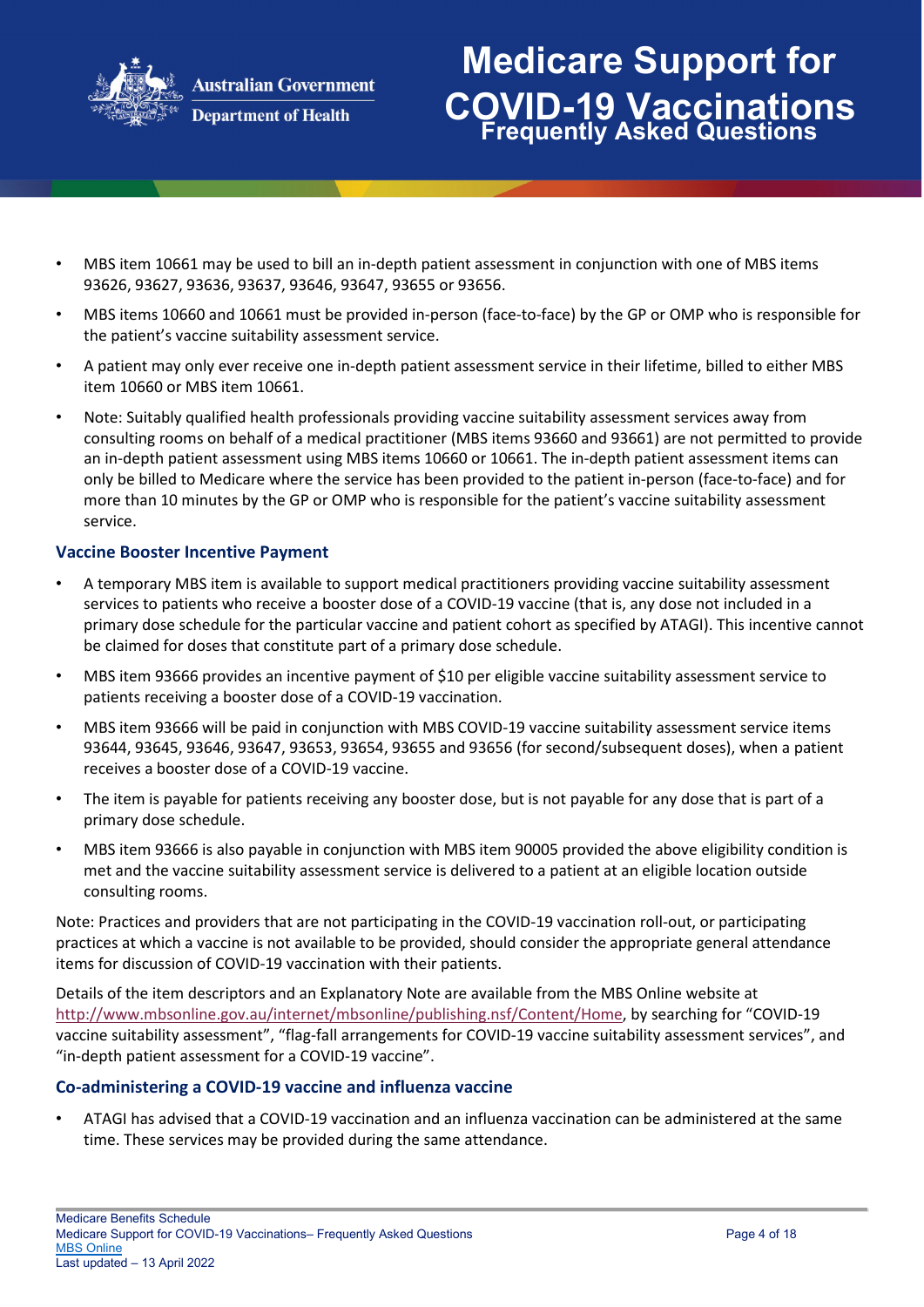

### **Medicare Support for COVID-19 Vaccinations Frequently Asked Questions**

- MBS item 10661 may be used to bill an in-depth patient assessment in conjunction with one of MBS items 93626, 93627, 93636, 93637, 93646, 93647, 93655 or 93656.
- MBS items 10660 and 10661 must be provided in-person (face-to-face) by the GP or OMP who is responsible for the patient's vaccine suitability assessment service.
- A patient may only ever receive one in-depth patient assessment service in their lifetime, billed to either MBS item 10660 or MBS item 10661.
- Note: Suitably qualified health professionals providing vaccine suitability assessment services away from consulting rooms on behalf of a medical practitioner (MBS items 93660 and 93661) are not permitted to provide an in-depth patient assessment using MBS items 10660 or 10661. The in-depth patient assessment items can only be billed to Medicare where the service has been provided to the patient in-person (face-to-face) and for more than 10 minutes by the GP or OMP who is responsible for the patient's vaccine suitability assessment service.

#### **Vaccine Booster Incentive Payment**

- A temporary MBS item is available to support medical practitioners providing vaccine suitability assessment services to patients who receive a booster dose of a COVID-19 vaccine (that is, any dose not included in a primary dose schedule for the particular vaccine and patient cohort as specified by ATAGI). This incentive cannot be claimed for doses that constitute part of a primary dose schedule.
- MBS item 93666 provides an incentive payment of \$10 per eligible vaccine suitability assessment service to patients receiving a booster dose of a COVID-19 vaccination.
- MBS item 93666 will be paid in conjunction with MBS COVID-19 vaccine suitability assessment service items 93644, 93645, 93646, 93647, 93653, 93654, 93655 and 93656 (for second/subsequent doses), when a patient receives a booster dose of a COVID-19 vaccine.
- The item is payable for patients receiving any booster dose, but is not payable for any dose that is part of a primary dose schedule.
- MBS item 93666 is also payable in conjunction with MBS item 90005 provided the above eligibility condition is met and the vaccine suitability assessment service is delivered to a patient at an eligible location outside consulting rooms.

Note: Practices and providers that are not participating in the COVID-19 vaccination roll-out, or participating practices at which a vaccine is not available to be provided, should consider the appropriate general attendance items for discussion of COVID-19 vaccination with their patients.

Details of the item descriptors and an Explanatory Note are available from the MBS Online website at [http://www.mbsonline.gov.au/internet/mbsonline/publishing.nsf/Content/Home,](http://www.mbsonline.gov.au/internet/mbsonline/publishing.nsf/Content/Home) by searching for "COVID-19 vaccine suitability assessment", "flag-fall arrangements for COVID-19 vaccine suitability assessment services", and "in-depth patient assessment for a COVID-19 vaccine".

#### **Co-administering a COVID-19 vaccine and influenza vaccine**

• ATAGI has advised that a COVID-19 vaccination and an influenza vaccination can be administered at the same time. These services may be provided during the same attendance.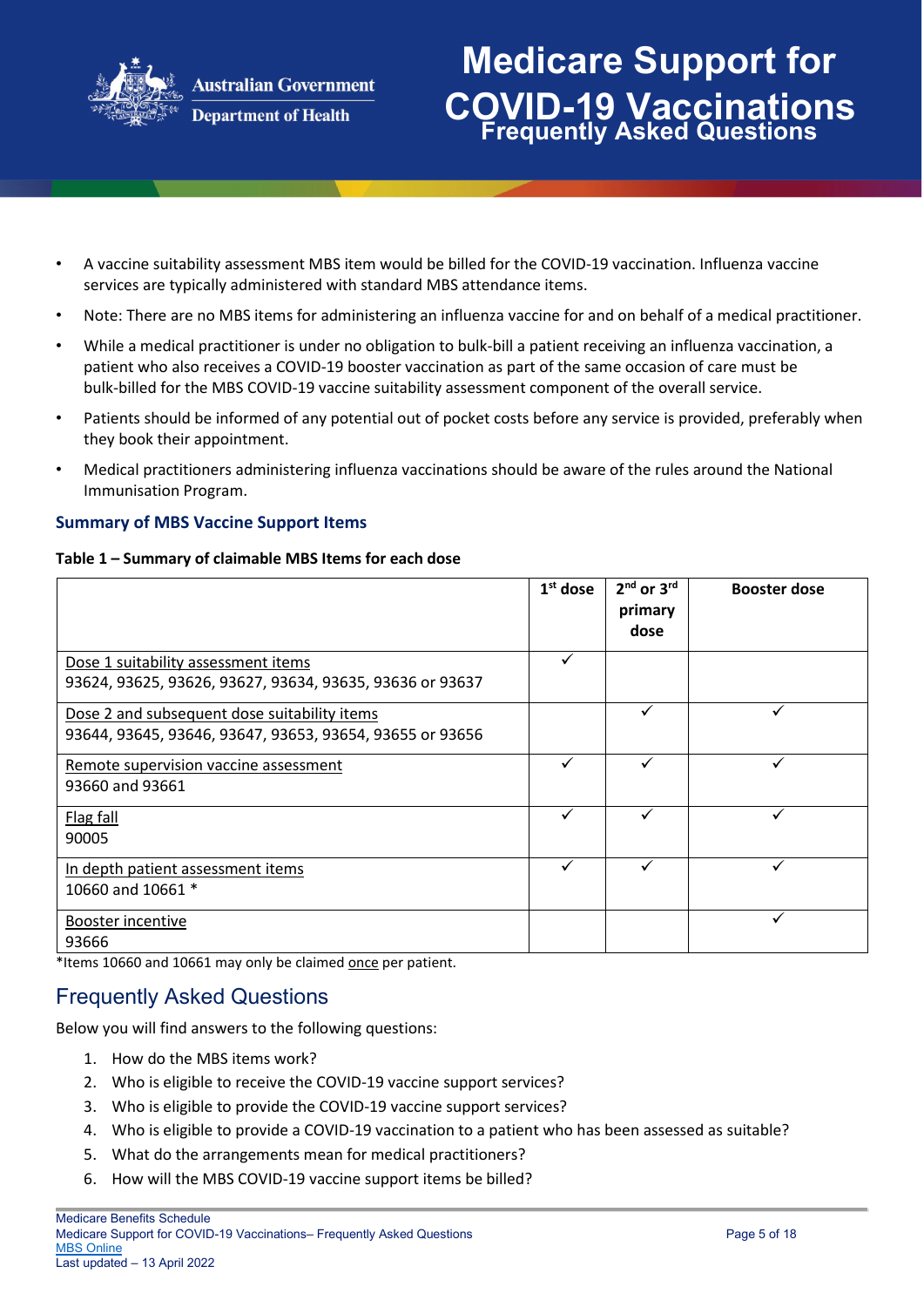

## **Medicare Support for COVID-19 Vaccinations Frequently Asked Questions**

- A vaccine suitability assessment MBS item would be billed for the COVID-19 vaccination. Influenza vaccine services are typically administered with standard MBS attendance items.
- Note: There are no MBS items for administering an influenza vaccine for and on behalf of a medical practitioner.
- While a medical practitioner is under no obligation to bulk-bill a patient receiving an influenza vaccination, a patient who also receives a COVID-19 booster vaccination as part of the same occasion of care must be bulk-billed for the MBS COVID-19 vaccine suitability assessment component of the overall service.
- Patients should be informed of any potential out of pocket costs before any service is provided, preferably when they book their appointment.
- Medical practitioners administering influenza vaccinations should be aware of the rules around the National Immunisation Program.

### **Summary of MBS Vaccine Support Items**

#### **Table 1 – Summary of claimable MBS Items for each dose**

|                                                                                                          | $1st$ dose | $2nd$ or $3rd$<br>primary<br>dose | <b>Booster dose</b> |
|----------------------------------------------------------------------------------------------------------|------------|-----------------------------------|---------------------|
| Dose 1 suitability assessment items<br>93624, 93625, 93626, 93627, 93634, 93635, 93636 or 93637          | ✓          |                                   |                     |
| Dose 2 and subsequent dose suitability items<br>93644, 93645, 93646, 93647, 93653, 93654, 93655 or 93656 |            | ✓                                 | v                   |
| Remote supervision vaccine assessment<br>93660 and 93661                                                 |            |                                   |                     |
| Flag fall<br>90005                                                                                       |            |                                   |                     |
| In depth patient assessment items<br>10660 and 10661 *                                                   |            |                                   |                     |
| Booster incentive<br>93666                                                                               |            |                                   |                     |

\*Items 10660 and 10661 may only be claimed once per patient.

### Frequently Asked Questions

Below you will find answers to the following questions:

- 1. How do the MBS items work?
- 2. Who is eligible to receive the COVID-19 vaccine support services?
- 3. Who is eligible to provide the COVID-19 vaccine support services?
- 4. Who is eligible to provide a COVID-19 vaccination to a patient who has been assessed as suitable?
- 5. What do the arrangements mean for medical practitioners?
- 6. How will the MBS COVID-19 vaccine support items be billed?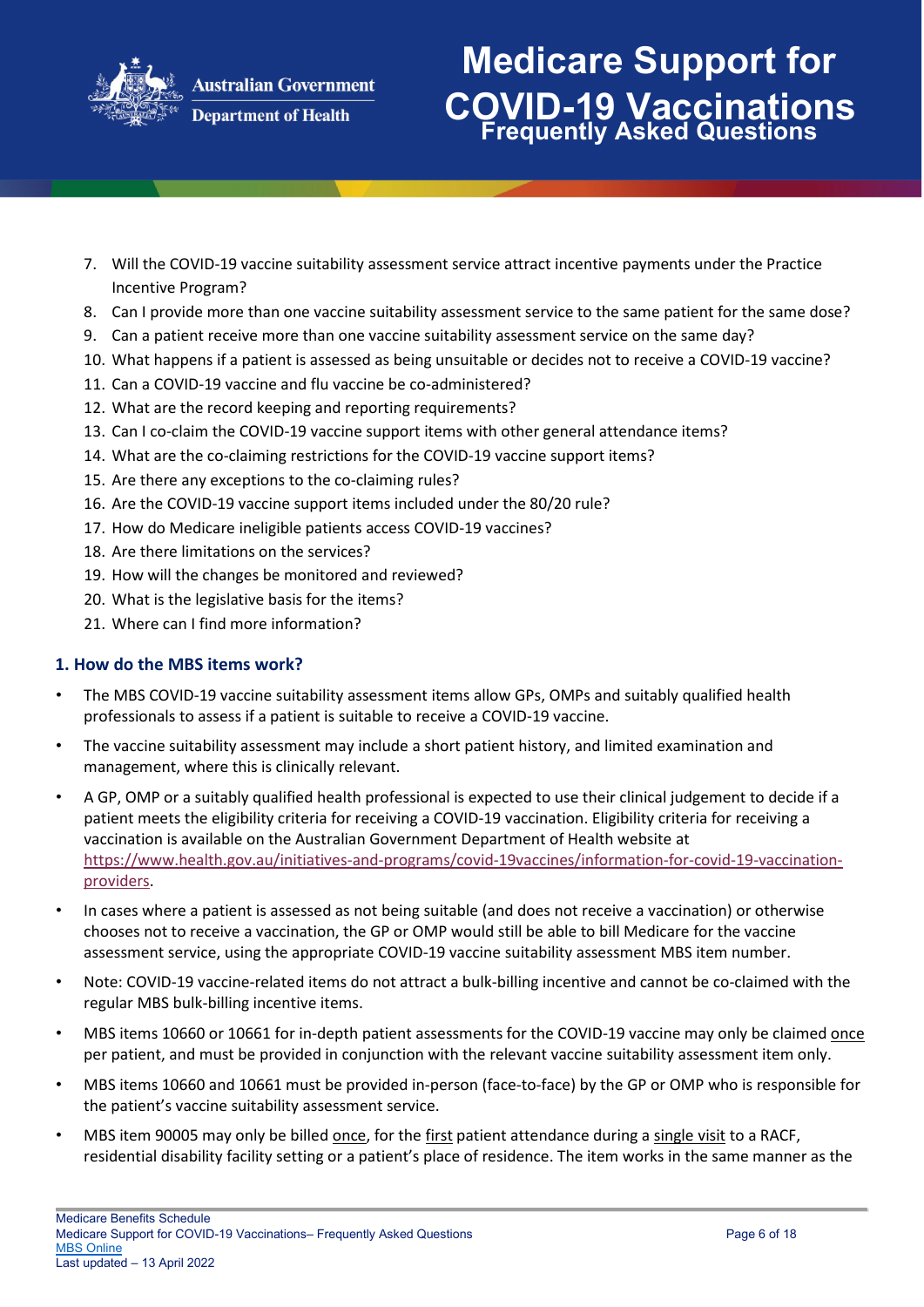

# **Medicare Support for COVID-19 Vaccinations Frequently Asked Questions**

- 7. Will the COVID-19 vaccine suitability assessment service attract incentive payments under the Practice Incentive Program?
- 8. Can I provide more than one vaccine suitability assessment service to the same patient for the same dose?
- 9. Can a patient receive more than one vaccine suitability assessment service on the same day?
- 10. What happens if a patient is assessed as being unsuitable or decides not to receive a COVID-19 vaccine?
- 11. Can a COVID-19 vaccine and flu vaccine be co-administered?
- 12. What are the record keeping and reporting requirements?
- 13. Can I co-claim the COVID-19 vaccine support items with other general attendance items?
- 14. What are the co-claiming restrictions for the COVID-19 vaccine support items?
- 15. Are there any exceptions to the co-claiming rules?
- 16. Are the COVID-19 vaccine support items included under the 80/20 rule?
- 17. How do Medicare ineligible patients access COVID-19 vaccines?
- 18. Are there limitations on the services?
- 19. How will the changes be monitored and reviewed?
- 20. What is the legislative basis for the items?
- 21. Where can I find more information?

### **1. How do the MBS items work?**

- The MBS COVID-19 vaccine suitability assessment items allow GPs, OMPs and suitably qualified health professionals to assess if a patient is suitable to receive a COVID-19 vaccine.
- The vaccine suitability assessment may include a short patient history, and limited examination and management, where this is clinically relevant.
- A GP, OMP or a suitably qualified health professional is expected to use their clinical judgement to decide if a patient meets the eligibility criteria for receiving a COVID-19 vaccination. Eligibility criteria for receiving a vaccination is available on the Australian Government Department of Health website a[t](https://www.health.gov.au/initiatives-and-programs/covid-19-vaccines/information-for-covid-19-vaccination-providers) [https://www.health.gov.au/initiatives-and-programs/covid-19vaccines/information-for-covid-19-vaccination](https://www.health.gov.au/initiatives-and-programs/covid-19-vaccines/information-for-covid-19-vaccination-providers)[providers.](https://www.health.gov.au/initiatives-and-programs/covid-19-vaccines/information-for-covid-19-vaccination-providers)
- In cases where a patient is assessed as not being suitable (and does not receive a vaccination) or otherwise chooses not to receive a vaccination, the GP or OMP would still be able to bill Medicare for the vaccine assessment service, using the appropriate COVID-19 vaccine suitability assessment MBS item number.
- Note: COVID-19 vaccine-related items do not attract a bulk-billing incentive and cannot be co-claimed with the regular MBS bulk-billing incentive items.
- MBS items 10660 or 10661 for in-depth patient assessments for the COVID-19 vaccine may only be claimed once per patient, and must be provided in conjunction with the relevant vaccine suitability assessment item only.
- MBS items 10660 and 10661 must be provided in-person (face-to-face) by the GP or OMP who is responsible for the patient's vaccine suitability assessment service.
- MBS item 90005 may only be billed once, for the first patient attendance during a single visit to a RACF, residential disability facility setting or a patient's place of residence. The item works in the same manner as the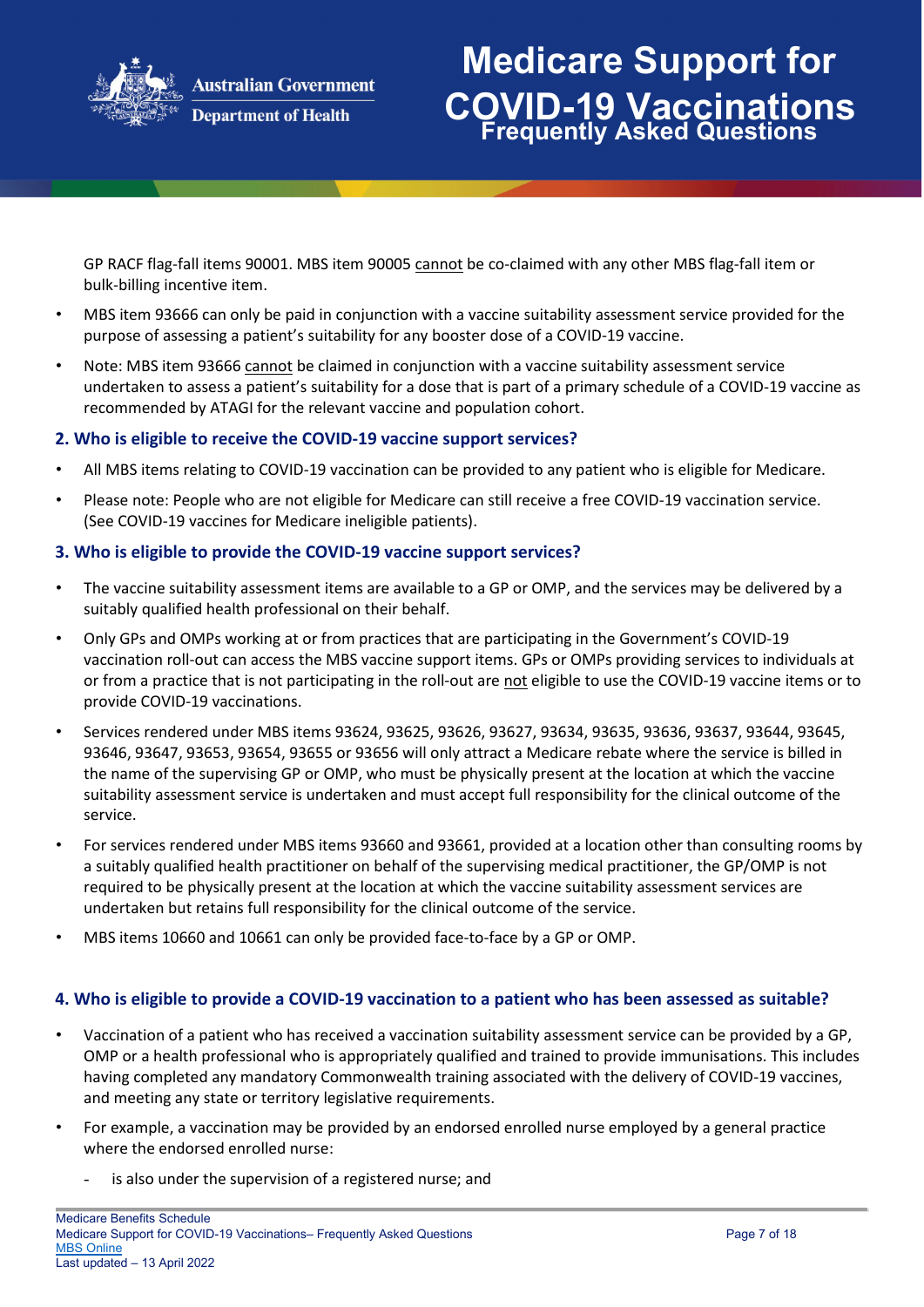

## **Medicare Support for COVID-19 Vaccinations Frequently Asked Questions**

GP RACF flag-fall items 90001. MBS item 90005 cannot be co-claimed with any other MBS flag-fall item or bulk-billing incentive item.

- MBS item 93666 can only be paid in conjunction with a vaccine suitability assessment service provided for the purpose of assessing a patient's suitability for any booster dose of a COVID-19 vaccine.
- Note: MBS item 93666 cannot be claimed in conjunction with a vaccine suitability assessment service undertaken to assess a patient's suitability for a dose that is part of a primary schedule of a COVID-19 vaccine as recommended by ATAGI for the relevant vaccine and population cohort.

#### **2. Who is eligible to receive the COVID-19 vaccine support services?**

- All MBS items relating to COVID-19 vaccination can be provided to any patient who is eligible for Medicare.
- Please note: People who are not eligible for Medicare can still receive a free COVID-19 vaccination service. (See COVID-19 vaccines for Medicare ineligible patients).

#### **3. Who is eligible to provide the COVID-19 vaccine support services?**

- The vaccine suitability assessment items are available to a GP or OMP, and the services may be delivered by a suitably qualified health professional on their behalf.
- Only GPs and OMPs working at or from practices that are participating in the Government's COVID-19 vaccination roll-out can access the MBS vaccine support items. GPs or OMPs providing services to individuals at or from a practice that is not participating in the roll-out are not eligible to use the COVID-19 vaccine items or to provide COVID-19 vaccinations.
- Services rendered under MBS items 93624, 93625, 93626, 93627, 93634, 93635, 93636, 93637, 93644, 93645, 93646, 93647, 93653, 93654, 93655 or 93656 will only attract a Medicare rebate where the service is billed in the name of the supervising GP or OMP, who must be physically present at the location at which the vaccine suitability assessment service is undertaken and must accept full responsibility for the clinical outcome of the service.
- For services rendered under MBS items 93660 and 93661, provided at a location other than consulting rooms by a suitably qualified health practitioner on behalf of the supervising medical practitioner, the GP/OMP is not required to be physically present at the location at which the vaccine suitability assessment services are undertaken but retains full responsibility for the clinical outcome of the service.
- MBS items 10660 and 10661 can only be provided face-to-face by a GP or OMP.

#### **4. Who is eligible to provide a COVID-19 vaccination to a patient who has been assessed as suitable?**

- Vaccination of a patient who has received a vaccination suitability assessment service can be provided by a GP, OMP or a health professional who is appropriately qualified and trained to provide immunisations. This includes having completed any mandatory Commonwealth training associated with the delivery of COVID-19 vaccines, and meeting any state or territory legislative requirements.
- For example, a vaccination may be provided by an endorsed enrolled nurse employed by a general practice where the endorsed enrolled nurse:
	- is also under the supervision of a registered nurse; and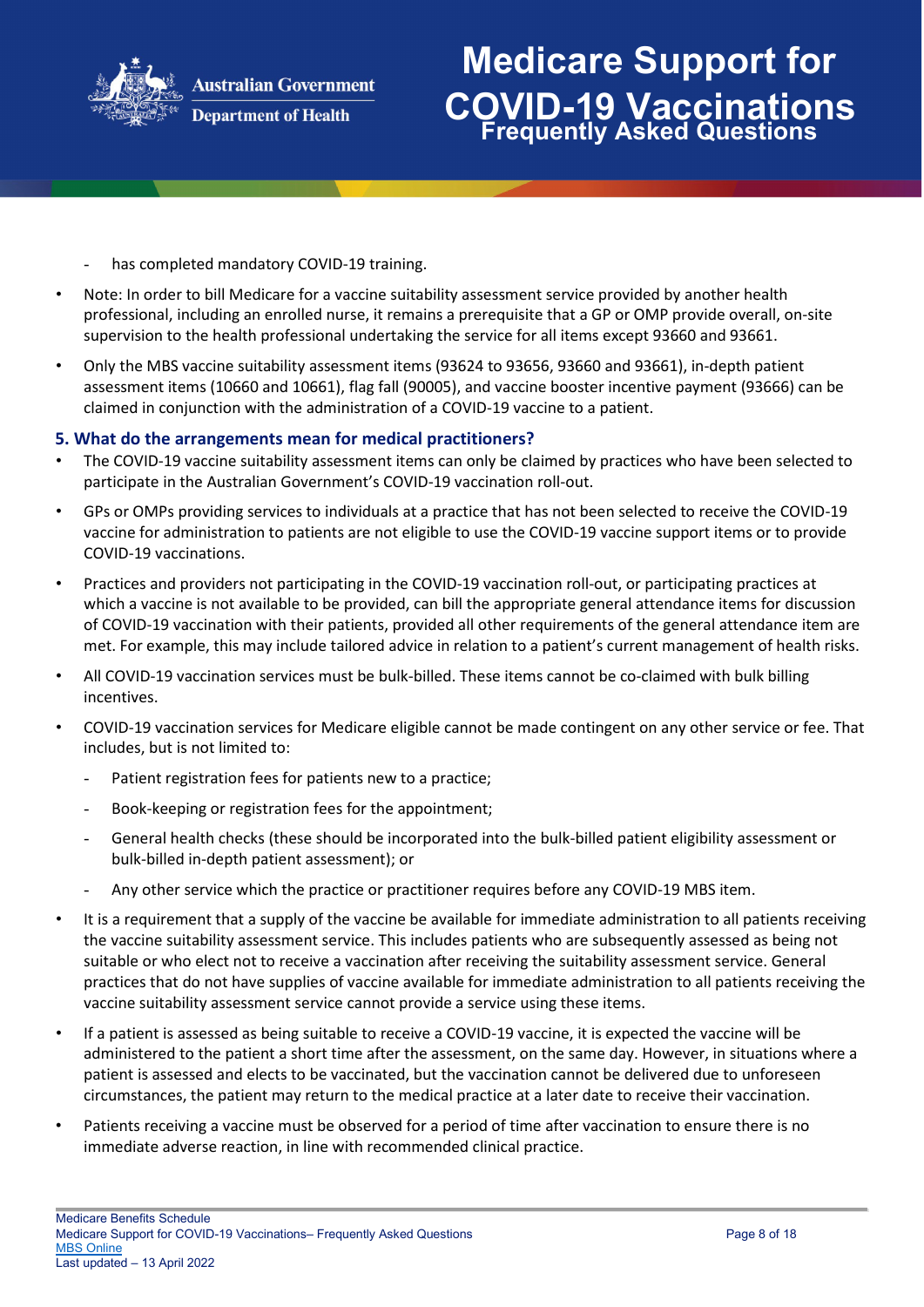

## **Medicare Support for COVID-19 Vaccinations Frequently Asked Questions**

- has completed mandatory COVID-19 training.
- Note: In order to bill Medicare for a vaccine suitability assessment service provided by another health professional, including an enrolled nurse, it remains a prerequisite that a GP or OMP provide overall, on-site supervision to the health professional undertaking the service for all items except 93660 and 93661.
- Only the MBS vaccine suitability assessment items (93624 to 93656, 93660 and 93661), in-depth patient assessment items (10660 and 10661), flag fall (90005), and vaccine booster incentive payment (93666) can be claimed in conjunction with the administration of a COVID-19 vaccine to a patient.

#### **5. What do the arrangements mean for medical practitioners?**

- The COVID-19 vaccine suitability assessment items can only be claimed by practices who have been selected to participate in the Australian Government's COVID-19 vaccination roll-out.
- GPs or OMPs providing services to individuals at a practice that has not been selected to receive the COVID-19 vaccine for administration to patients are not eligible to use the COVID-19 vaccine support items or to provide COVID-19 vaccinations.
- Practices and providers not participating in the COVID-19 vaccination roll-out, or participating practices at which a vaccine is not available to be provided, can bill the appropriate general attendance items for discussion of COVID-19 vaccination with their patients, provided all other requirements of the general attendance item are met. For example, this may include tailored advice in relation to a patient's current management of health risks.
- All COVID-19 vaccination services must be bulk-billed. These items cannot be co-claimed with bulk billing incentives.
- COVID-19 vaccination services for Medicare eligible cannot be made contingent on any other service or fee. That includes, but is not limited to:
	- Patient registration fees for patients new to a practice;
	- Book-keeping or registration fees for the appointment;
	- General health checks (these should be incorporated into the bulk-billed patient eligibility assessment or bulk-billed in-depth patient assessment); or
	- Any other service which the practice or practitioner requires before any COVID-19 MBS item.
- It is a requirement that a supply of the vaccine be available for immediate administration to all patients receiving the vaccine suitability assessment service. This includes patients who are subsequently assessed as being not suitable or who elect not to receive a vaccination after receiving the suitability assessment service. General practices that do not have supplies of vaccine available for immediate administration to all patients receiving the vaccine suitability assessment service cannot provide a service using these items.
- If a patient is assessed as being suitable to receive a COVID-19 vaccine, it is expected the vaccine will be administered to the patient a short time after the assessment, on the same day. However, in situations where a patient is assessed and elects to be vaccinated, but the vaccination cannot be delivered due to unforeseen circumstances, the patient may return to the medical practice at a later date to receive their vaccination.
- Patients receiving a vaccine must be observed for a period of time after vaccination to ensure there is no immediate adverse reaction, in line with recommended clinical practice.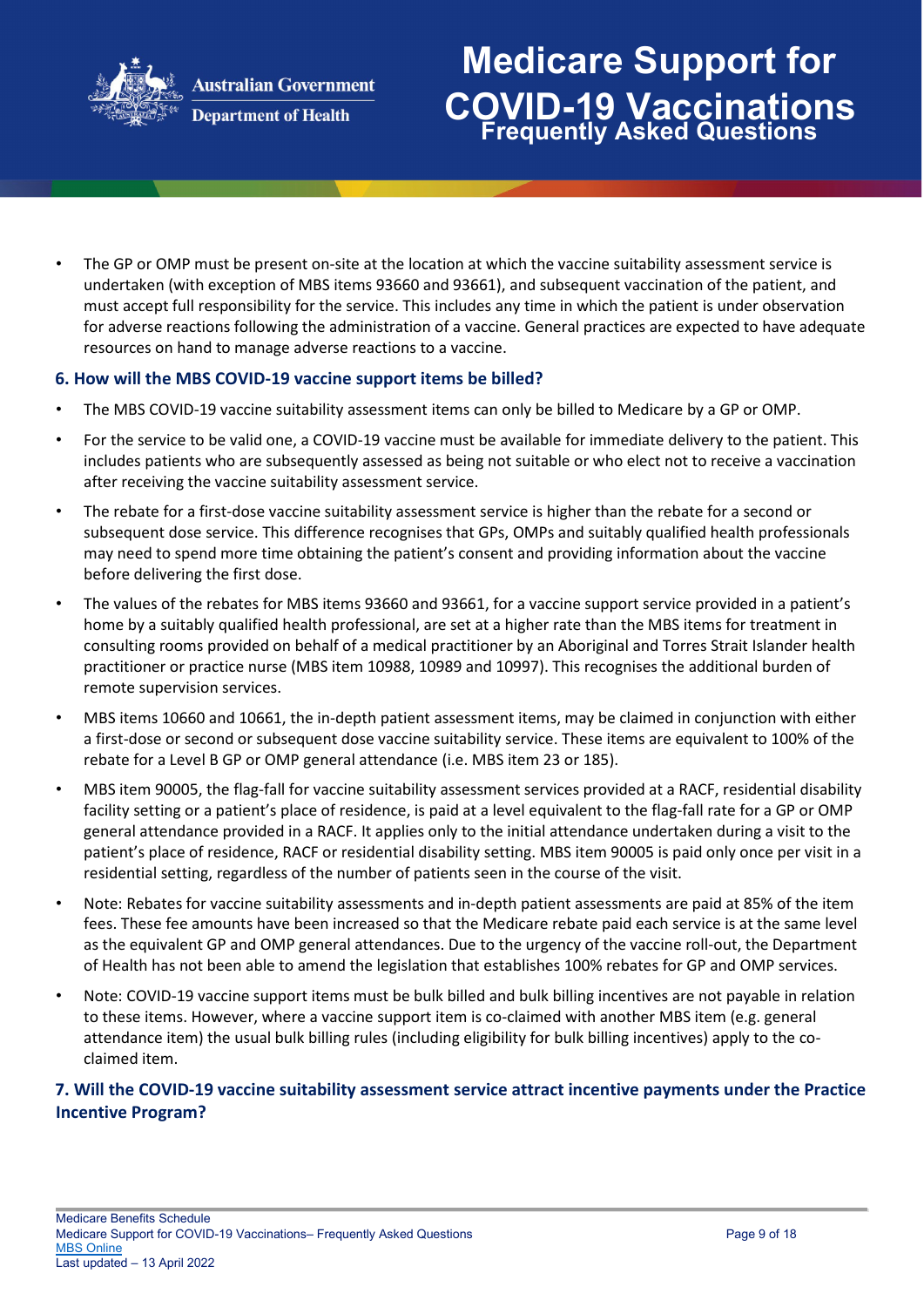

**Department of Health** 

# **Medicare Support for COVID-19 Vaccinations Frequently Asked Questions**

• The GP or OMP must be present on-site at the location at which the vaccine suitability assessment service is undertaken (with exception of MBS items 93660 and 93661), and subsequent vaccination of the patient, and must accept full responsibility for the service. This includes any time in which the patient is under observation for adverse reactions following the administration of a vaccine. General practices are expected to have adequate resources on hand to manage adverse reactions to a vaccine.

### **6. How will the MBS COVID-19 vaccine support items be billed?**

- The MBS COVID-19 vaccine suitability assessment items can only be billed to Medicare by a GP or OMP.
- For the service to be valid one, a COVID-19 vaccine must be available for immediate delivery to the patient. This includes patients who are subsequently assessed as being not suitable or who elect not to receive a vaccination after receiving the vaccine suitability assessment service.
- The rebate for a first-dose vaccine suitability assessment service is higher than the rebate for a second or subsequent dose service. This difference recognises that GPs, OMPs and suitably qualified health professionals may need to spend more time obtaining the patient's consent and providing information about the vaccine before delivering the first dose.
- The values of the rebates for MBS items 93660 and 93661, for a vaccine support service provided in a patient's home by a suitably qualified health professional, are set at a higher rate than the MBS items for treatment in consulting rooms provided on behalf of a medical practitioner by an Aboriginal and Torres Strait Islander health practitioner or practice nurse (MBS item 10988, 10989 and 10997). This recognises the additional burden of remote supervision services.
- MBS items 10660 and 10661, the in-depth patient assessment items, may be claimed in conjunction with either a first-dose or second or subsequent dose vaccine suitability service. These items are equivalent to 100% of the rebate for a Level B GP or OMP general attendance (i.e. MBS item 23 or 185).
- MBS item 90005, the flag-fall for vaccine suitability assessment services provided at a RACF, residential disability facility setting or a patient's place of residence, is paid at a level equivalent to the flag-fall rate for a GP or OMP general attendance provided in a RACF. It applies only to the initial attendance undertaken during a visit to the patient's place of residence, RACF or residential disability setting. MBS item 90005 is paid only once per visit in a residential setting, regardless of the number of patients seen in the course of the visit.
- Note: Rebates for vaccine suitability assessments and in-depth patient assessments are paid at 85% of the item fees. These fee amounts have been increased so that the Medicare rebate paid each service is at the same level as the equivalent GP and OMP general attendances. Due to the urgency of the vaccine roll-out, the Department of Health has not been able to amend the legislation that establishes 100% rebates for GP and OMP services.
- Note: COVID-19 vaccine support items must be bulk billed and bulk billing incentives are not payable in relation to these items. However, where a vaccine support item is co-claimed with another MBS item (e.g. general attendance item) the usual bulk billing rules (including eligibility for bulk billing incentives) apply to the coclaimed item.

### **7. Will the COVID-19 vaccine suitability assessment service attract incentive payments under the Practice Incentive Program?**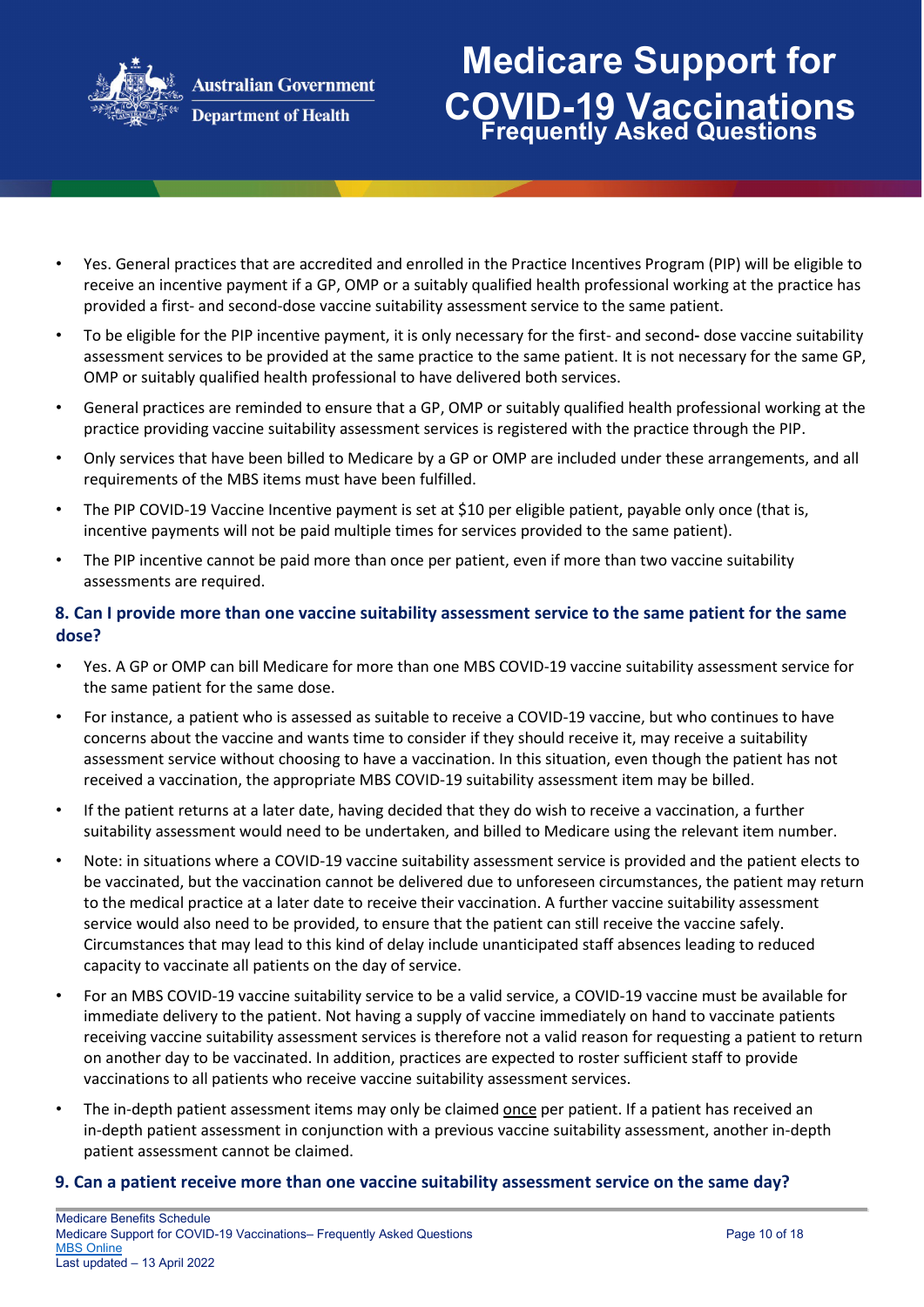

### **Department of Health**

## **Medicare Support for COVID-19 Vaccinations Frequently Asked Questions**

- Yes. General practices that are accredited and enrolled in the Practice Incentives Program (PIP) will be eligible to receive an incentive payment if a GP, OMP or a suitably qualified health professional working at the practice has provided a first- and second-dose vaccine suitability assessment service to the same patient.
- To be eligible for the PIP incentive payment, it is only necessary for the first- and seconddose vaccine suitability assessment services to be provided at the same practice to the same patient. It is not necessary for the same GP, OMP or suitably qualified health professional to have delivered both services.
- General practices are reminded to ensure that a GP, OMP or suitably qualified health professional working at the practice providing vaccine suitability assessment services is registered with the practice through the PIP.
- Only services that have been billed to Medicare by a GP or OMP are included under these arrangements, and all requirements of the MBS items must have been fulfilled.
- The PIP COVID-19 Vaccine Incentive payment is set at \$10 per eligible patient, payable only once (that is, incentive payments will not be paid multiple times for services provided to the same patient).
- The PIP incentive cannot be paid more than once per patient, even if more than two vaccine suitability assessments are required.

### **8. Can I provide more than one vaccine suitability assessment service to the same patient for the same dose?**

- Yes. A GP or OMP can bill Medicare for more than one MBS COVID-19 vaccine suitability assessment service for the same patient for the same dose.
- For instance, a patient who is assessed as suitable to receive a COVID-19 vaccine, but who continues to have concerns about the vaccine and wants time to consider if they should receive it, may receive a suitability assessment service without choosing to have a vaccination. In this situation, even though the patient has not received a vaccination, the appropriate MBS COVID-19 suitability assessment item may be billed.
- If the patient returns at a later date, having decided that they do wish to receive a vaccination, a further suitability assessment would need to be undertaken, and billed to Medicare using the relevant item number.
- Note: in situations where a COVID-19 vaccine suitability assessment service is provided and the patient elects to be vaccinated, but the vaccination cannot be delivered due to unforeseen circumstances, the patient may return to the medical practice at a later date to receive their vaccination. A further vaccine suitability assessment service would also need to be provided, to ensure that the patient can still receive the vaccine safely. Circumstances that may lead to this kind of delay include unanticipated staff absences leading to reduced capacity to vaccinate all patients on the day of service.
- For an MBS COVID-19 vaccine suitability service to be a valid service, a COVID-19 vaccine must be available for immediate delivery to the patient. Not having a supply of vaccine immediately on hand to vaccinate patients receiving vaccine suitability assessment services is therefore not a valid reason for requesting a patient to return on another day to be vaccinated. In addition, practices are expected to roster sufficient staff to provide vaccinations to all patients who receive vaccine suitability assessment services.
- The in-depth patient assessment items may only be claimed once per patient. If a patient has received an in-depth patient assessment in conjunction with a previous vaccine suitability assessment, another in-depth patient assessment cannot be claimed.

#### **9. Can a patient receive more than one vaccine suitability assessment service on the same day?**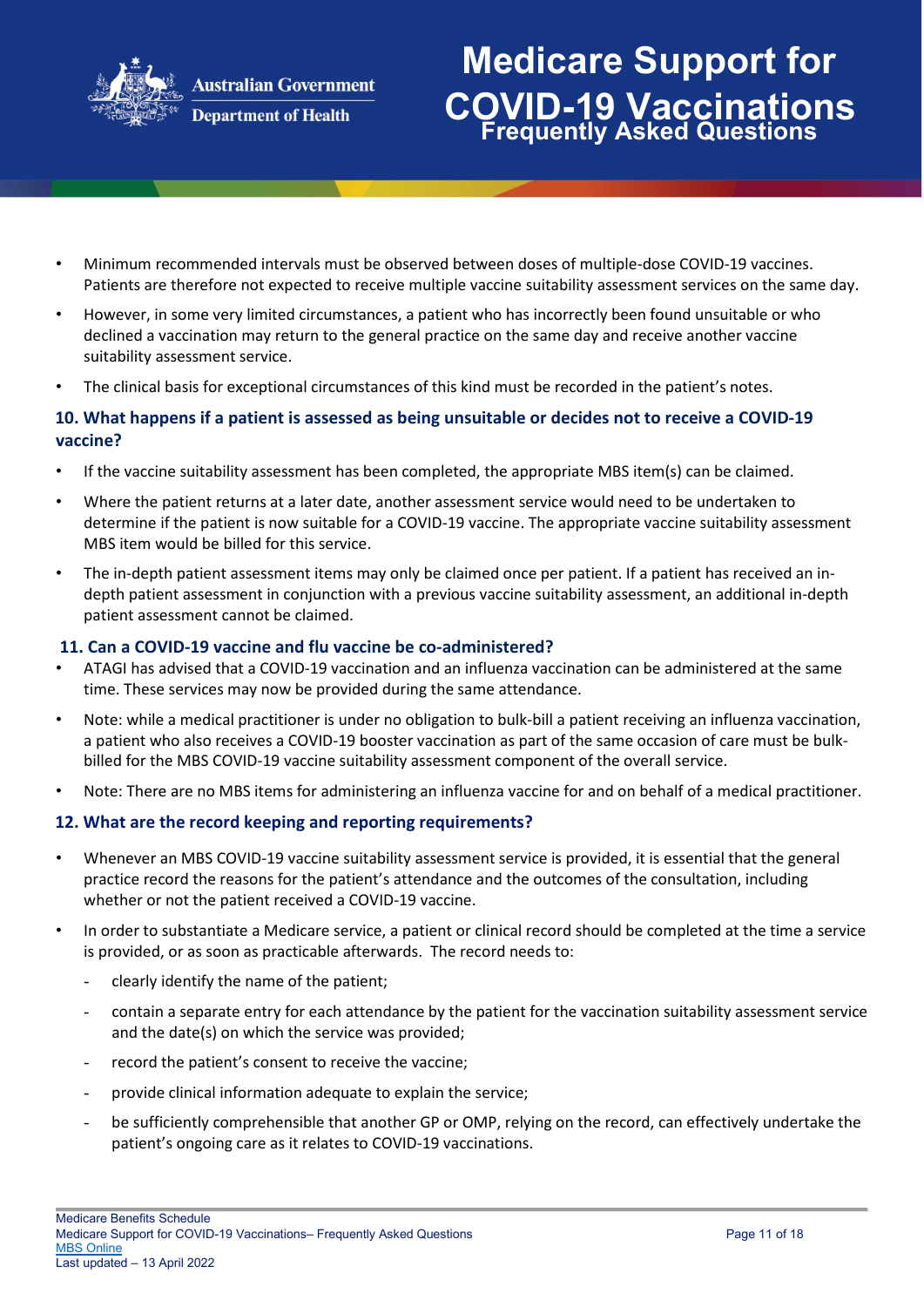

# **Medicare Support for COVID-19 Vaccinations Frequently Asked Questions**

- Minimum recommended intervals must be observed between doses of multiple-dose COVID-19 vaccines. Patients are therefore not expected to receive multiple vaccine suitability assessment services on the same day.
- However, in some very limited circumstances, a patient who has incorrectly been found unsuitable or who declined a vaccination may return to the general practice on the same day and receive another vaccine suitability assessment service.
- The clinical basis for exceptional circumstances of this kind must be recorded in the patient's notes.

### **10. What happens if a patient is assessed as being unsuitable or decides not to receive a COVID-19 vaccine?**

- If the vaccine suitability assessment has been completed, the appropriate MBS item(s) can be claimed.
- Where the patient returns at a later date, another assessment service would need to be undertaken to determine if the patient is now suitable for a COVID-19 vaccine. The appropriate vaccine suitability assessment MBS item would be billed for this service.
- The in-depth patient assessment items may only be claimed once per patient. If a patient has received an indepth patient assessment in conjunction with a previous vaccine suitability assessment, an additional in-depth patient assessment cannot be claimed.

### **11. Can a COVID-19 vaccine and flu vaccine be co-administered?**

- ATAGI has advised that a COVID-19 vaccination and an influenza vaccination can be administered at the same time. These services may now be provided during the same attendance.
- Note: while a medical practitioner is under no obligation to bulk-bill a patient receiving an influenza vaccination, a patient who also receives a COVID-19 booster vaccination as part of the same occasion of care must be bulkbilled for the MBS COVID-19 vaccine suitability assessment component of the overall service.
- Note: There are no MBS items for administering an influenza vaccine for and on behalf of a medical practitioner.

### **12. What are the record keeping and reporting requirements?**

- Whenever an MBS COVID-19 vaccine suitability assessment service is provided, it is essential that the general practice record the reasons for the patient's attendance and the outcomes of the consultation, including whether or not the patient received a COVID-19 vaccine.
- In order to substantiate a Medicare service, a patient or clinical record should be completed at the time a service is provided, or as soon as practicable afterwards. The record needs to:
	- clearly identify the name of the patient;
	- contain a separate entry for each attendance by the patient for the vaccination suitability assessment service and the date(s) on which the service was provided;
	- record the patient's consent to receive the vaccine;
	- provide clinical information adequate to explain the service;
	- be sufficiently comprehensible that another GP or OMP, relying on the record, can effectively undertake the patient's ongoing care as it relates to COVID-19 vaccinations.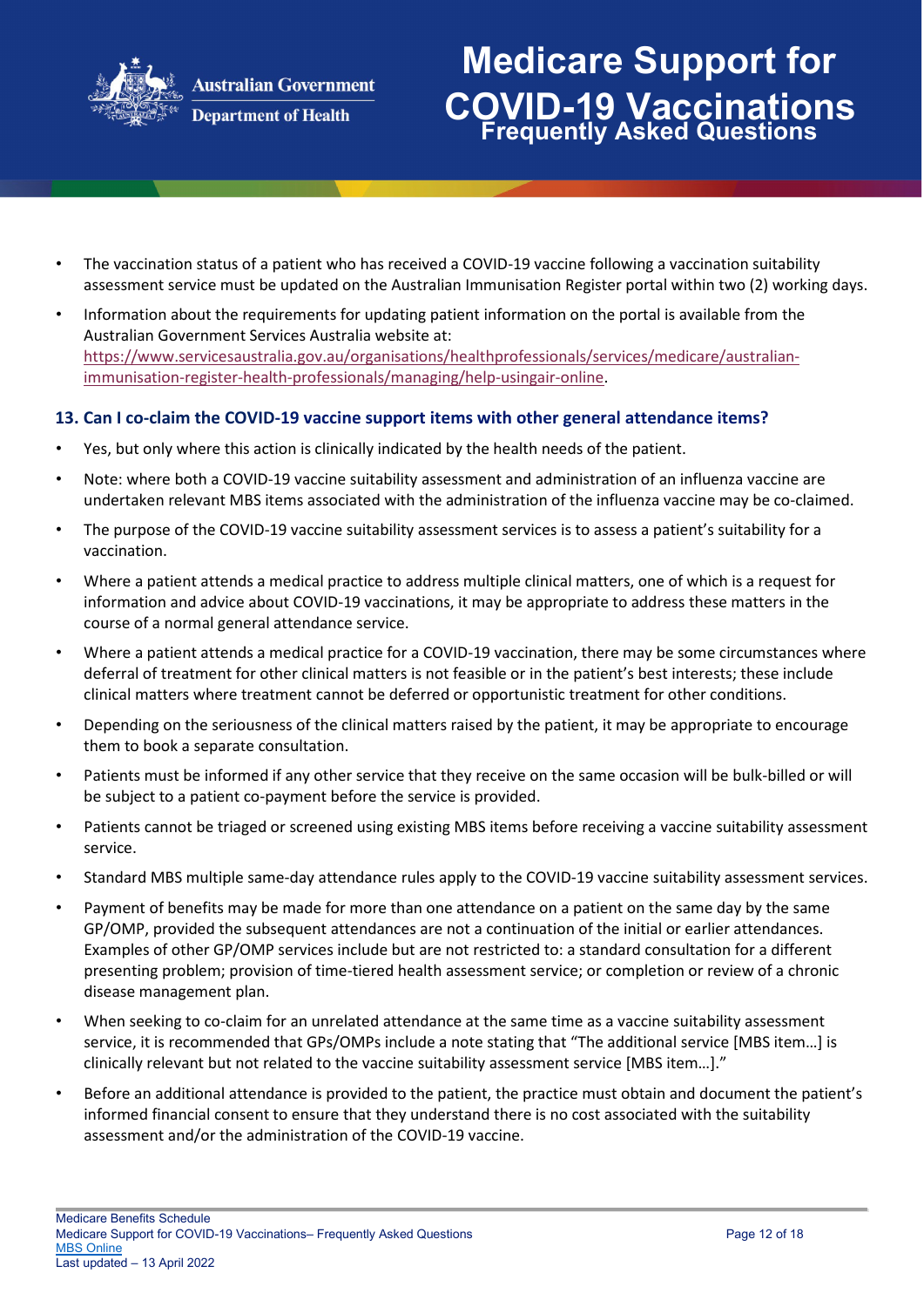

# **Medicare Support for COVID-19 Vaccinations Frequently Asked Questions**

- The vaccination status of a patient who has received a COVID-19 vaccine following a vaccination suitability assessment service must be updated on the Australian Immunisation Register portal within two (2) working days.
- Information about the requirements for updating patient information on the portal is available from the Australian Government Services Australia website at[:](https://www.servicesaustralia.gov.au/organisations/health-professionals/services/medicare/australian-immunisation-register-health-professionals/managing/help-using-air-online) [https://www.servicesaustralia.gov.au/organisations/healthprofessionals/services/medicare/australian](https://www.servicesaustralia.gov.au/organisations/health-professionals/services/medicare/australian-immunisation-register-health-professionals/managing/help-using-air-online)[immunisation-register-health-professionals/managing/help-usingair-online.](https://www.servicesaustralia.gov.au/organisations/health-professionals/services/medicare/australian-immunisation-register-health-professionals/managing/help-using-air-online)

### **13. Can I co-claim the COVID-19 vaccine support items with other general attendance items?**

- Yes, but only where this action is clinically indicated by the health needs of the patient.
- Note: where both a COVID-19 vaccine suitability assessment and administration of an influenza vaccine are undertaken relevant MBS items associated with the administration of the influenza vaccine may be co-claimed.
- The purpose of the COVID-19 vaccine suitability assessment services is to assess a patient's suitability for a vaccination.
- Where a patient attends a medical practice to address multiple clinical matters, one of which is a request for information and advice about COVID-19 vaccinations, it may be appropriate to address these matters in the course of a normal general attendance service.
- Where a patient attends a medical practice for a COVID-19 vaccination, there may be some circumstances where deferral of treatment for other clinical matters is not feasible or in the patient's best interests; these include clinical matters where treatment cannot be deferred or opportunistic treatment for other conditions.
- Depending on the seriousness of the clinical matters raised by the patient, it may be appropriate to encourage them to book a separate consultation.
- Patients must be informed if any other service that they receive on the same occasion will be bulk-billed or will be subject to a patient co-payment before the service is provided.
- Patients cannot be triaged or screened using existing MBS items before receiving a vaccine suitability assessment service.
- Standard MBS multiple same-day attendance rules apply to the COVID-19 vaccine suitability assessment services.
- Payment of benefits may be made for more than one attendance on a patient on the same day by the same GP/OMP, provided the subsequent attendances are not a continuation of the initial or earlier attendances. Examples of other GP/OMP services include but are not restricted to: a standard consultation for a different presenting problem; provision of time-tiered health assessment service; or completion or review of a chronic disease management plan.
- When seeking to co-claim for an unrelated attendance at the same time as a vaccine suitability assessment service, it is recommended that GPs/OMPs include a note stating that "The additional service [MBS item…] is clinically relevant but not related to the vaccine suitability assessment service [MBS item…]."
- Before an additional attendance is provided to the patient, the practice must obtain and document the patient's informed financial consent to ensure that they understand there is no cost associated with the suitability assessment and/or the administration of the COVID-19 vaccine.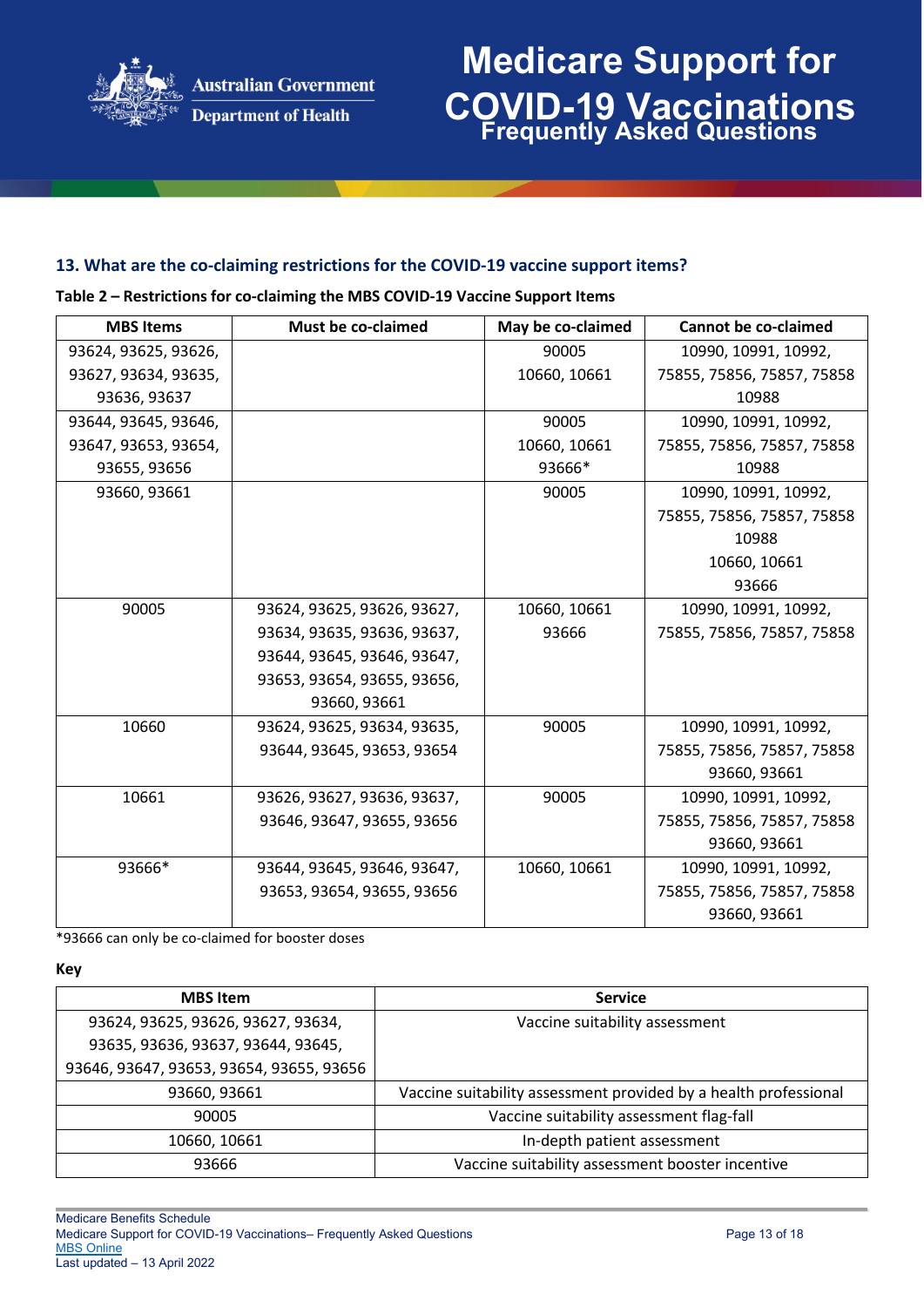

# **Medicare Support for COVID-19 Vaccinations Frequently Asked Questions**

### **13. What are the co-claiming restrictions for the COVID-19 vaccine support items?**

| 93624, 93625, 93626,<br>90005<br>10990, 10991, 10992,<br>10660, 10661<br>75855, 75856, 75857, 75858<br>93627, 93634, 93635,<br>93636, 93637<br>10988 |
|------------------------------------------------------------------------------------------------------------------------------------------------------|
|                                                                                                                                                      |
|                                                                                                                                                      |
|                                                                                                                                                      |
| 10990, 10991, 10992,<br>93644, 93645, 93646,<br>90005                                                                                                |
| 93647, 93653, 93654,<br>10660, 10661<br>75855, 75856, 75857, 75858                                                                                   |
| 93666*<br>93655, 93656<br>10988                                                                                                                      |
| 93660, 93661<br>90005<br>10990, 10991, 10992,                                                                                                        |
| 75855, 75856, 75857, 75858                                                                                                                           |
| 10988                                                                                                                                                |
| 10660, 10661                                                                                                                                         |
| 93666                                                                                                                                                |
| 90005<br>93624, 93625, 93626, 93627,<br>10660, 10661<br>10990, 10991, 10992,                                                                         |
| 93666<br>93634, 93635, 93636, 93637,<br>75855, 75856, 75857, 75858                                                                                   |
| 93644, 93645, 93646, 93647,                                                                                                                          |
| 93653, 93654, 93655, 93656,                                                                                                                          |
| 93660, 93661                                                                                                                                         |
| 10660<br>93624, 93625, 93634, 93635,<br>90005<br>10990, 10991, 10992,                                                                                |
| 93644, 93645, 93653, 93654<br>75855, 75856, 75857, 75858                                                                                             |
| 93660, 93661                                                                                                                                         |
| 10661<br>90005<br>10990, 10991, 10992,<br>93626, 93627, 93636, 93637,                                                                                |
| 93646, 93647, 93655, 93656<br>75855, 75856, 75857, 75858                                                                                             |
| 93660, 93661                                                                                                                                         |
| 93666*<br>10660, 10661<br>93644, 93645, 93646, 93647,<br>10990, 10991, 10992,                                                                        |
| 75855, 75856, 75857, 75858<br>93653, 93654, 93655, 93656                                                                                             |
| 93660, 93661                                                                                                                                         |

**Table 2 – Restrictions for co-claiming the MBS COVID-19 Vaccine Support Items**

\*93666 can only be co-claimed for booster doses

**Key**

| <b>MBS</b> Item                          | <b>Service</b>                                                   |
|------------------------------------------|------------------------------------------------------------------|
| 93624, 93625, 93626, 93627, 93634,       | Vaccine suitability assessment                                   |
| 93635, 93636, 93637, 93644, 93645,       |                                                                  |
| 93646, 93647, 93653, 93654, 93655, 93656 |                                                                  |
| 93660, 93661                             | Vaccine suitability assessment provided by a health professional |
| 90005                                    | Vaccine suitability assessment flag-fall                         |
| 10660, 10661                             | In-depth patient assessment                                      |
| 93666                                    | Vaccine suitability assessment booster incentive                 |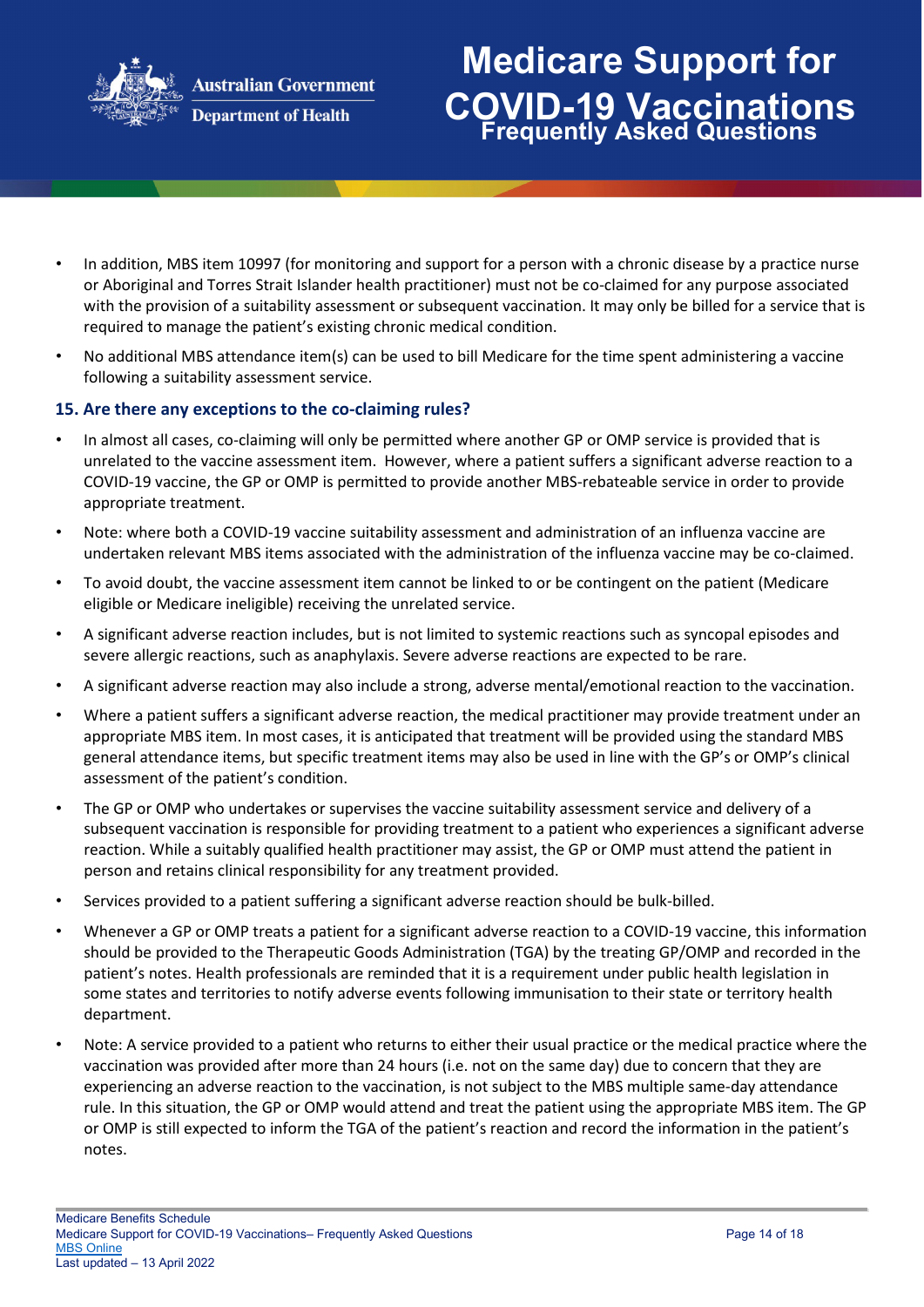

# **Medicare Support for COVID-19 Vaccinations Frequently Asked Questions**

- **Department of Health**
- In addition, MBS item 10997 (for monitoring and support for a person with a chronic disease by a practice nurse or Aboriginal and Torres Strait Islander health practitioner) must not be co-claimed for any purpose associated with the provision of a suitability assessment or subsequent vaccination. It may only be billed for a service that is required to manage the patient's existing chronic medical condition.
- No additional MBS attendance item(s) can be used to bill Medicare for the time spent administering a vaccine following a suitability assessment service.

### **15. Are there any exceptions to the co-claiming rules?**

- In almost all cases, co-claiming will only be permitted where another GP or OMP service is provided that is unrelated to the vaccine assessment item. However, where a patient suffers a significant adverse reaction to a COVID-19 vaccine, the GP or OMP is permitted to provide another MBS-rebateable service in order to provide appropriate treatment.
- Note: where both a COVID-19 vaccine suitability assessment and administration of an influenza vaccine are undertaken relevant MBS items associated with the administration of the influenza vaccine may be co-claimed.
- To avoid doubt, the vaccine assessment item cannot be linked to or be contingent on the patient (Medicare eligible or Medicare ineligible) receiving the unrelated service.
- A significant adverse reaction includes, but is not limited to systemic reactions such as syncopal episodes and severe allergic reactions, such as anaphylaxis. Severe adverse reactions are expected to be rare.
- A significant adverse reaction may also include a strong, adverse mental/emotional reaction to the vaccination.
- Where a patient suffers a significant adverse reaction, the medical practitioner may provide treatment under an appropriate MBS item. In most cases, it is anticipated that treatment will be provided using the standard MBS general attendance items, but specific treatment items may also be used in line with the GP's or OMP's clinical assessment of the patient's condition.
- The GP or OMP who undertakes or supervises the vaccine suitability assessment service and delivery of a subsequent vaccination is responsible for providing treatment to a patient who experiences a significant adverse reaction. While a suitably qualified health practitioner may assist, the GP or OMP must attend the patient in person and retains clinical responsibility for any treatment provided.
- Services provided to a patient suffering a significant adverse reaction should be bulk-billed.
- Whenever a GP or OMP treats a patient for a significant adverse reaction to a COVID-19 vaccine, this information should be provided to the Therapeutic Goods Administration (TGA) by the treating GP/OMP and recorded in the patient's notes. Health professionals are reminded that it is a requirement under public health legislation in some states and territories to notify adverse events following immunisation to their state or territory health department.
- Note: A service provided to a patient who returns to either their usual practice or the medical practice where the vaccination was provided after more than 24 hours (i.e. not on the same day) due to concern that they are experiencing an adverse reaction to the vaccination, is not subject to the MBS multiple same-day attendance rule. In this situation, the GP or OMP would attend and treat the patient using the appropriate MBS item. The GP or OMP is still expected to inform the TGA of the patient's reaction and record the information in the patient's notes.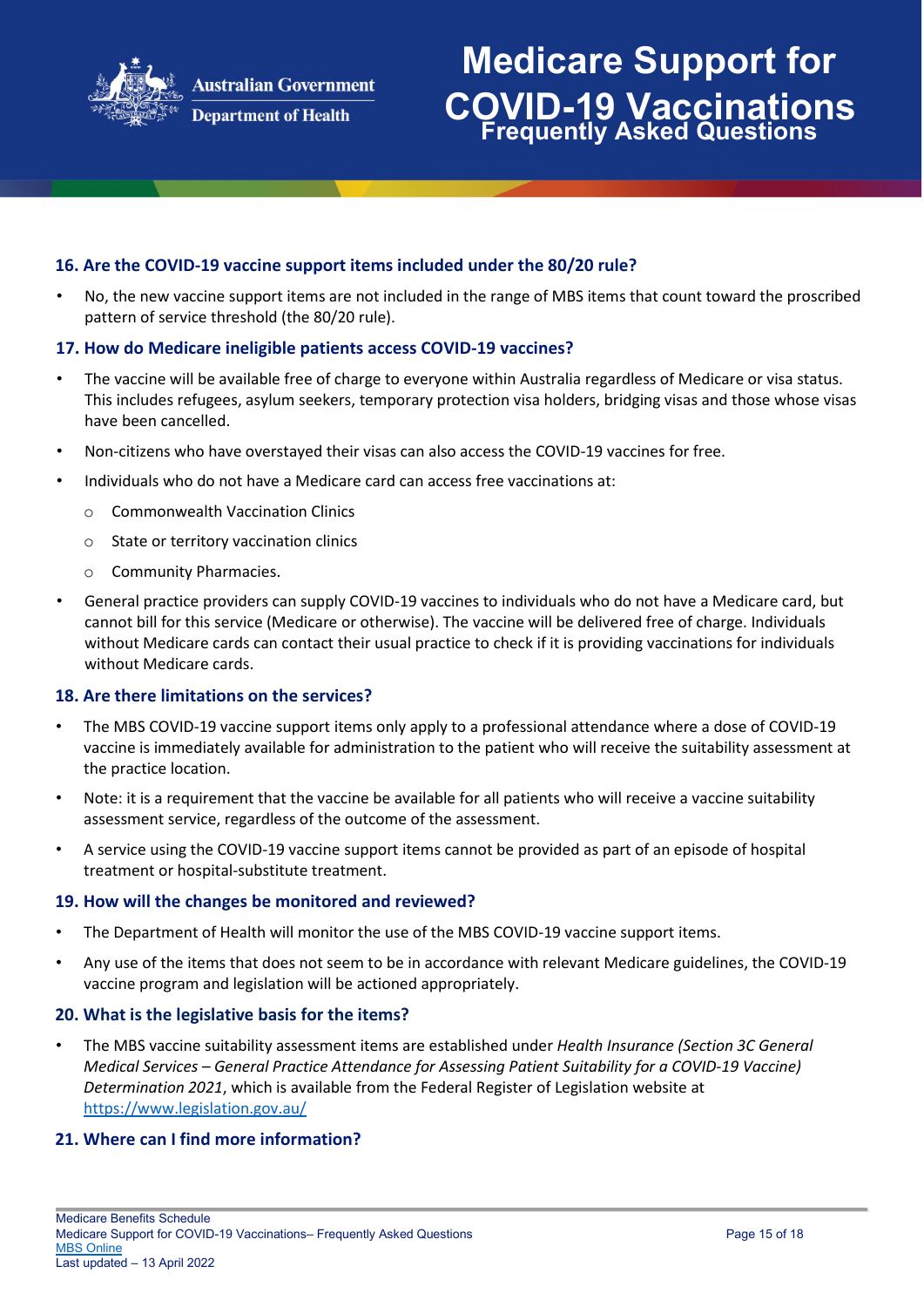

#### **16. Are the COVID-19 vaccine support items included under the 80/20 rule?**

• No, the new vaccine support items are not included in the range of MBS items that count toward the proscribed pattern of service threshold (the 80/20 rule).

#### **17. How do Medicare ineligible patients access COVID-19 vaccines?**

- The vaccine will be available free of charge to everyone within Australia regardless of Medicare or visa status. This includes refugees, asylum seekers, temporary protection visa holders, bridging visas and those whose visas have been cancelled.
- Non-citizens who have overstayed their visas can also access the COVID-19 vaccines for free.
- Individuals who do not have a Medicare card can access free vaccinations at:
	- o Commonwealth Vaccination Clinics
	- o State or territory vaccination clinics
	- o Community Pharmacies.
- General practice providers can supply COVID-19 vaccines to individuals who do not have a Medicare card, but cannot bill for this service (Medicare or otherwise). The vaccine will be delivered free of charge. Individuals without Medicare cards can contact their usual practice to check if it is providing vaccinations for individuals without Medicare cards.

#### **18. Are there limitations on the services?**

- The MBS COVID-19 vaccine support items only apply to a professional attendance where a dose of COVID-19 vaccine is immediately available for administration to the patient who will receive the suitability assessment at the practice location.
- Note: it is a requirement that the vaccine be available for all patients who will receive a vaccine suitability assessment service, regardless of the outcome of the assessment.
- A service using the COVID-19 vaccine support items cannot be provided as part of an episode of hospital treatment or hospital-substitute treatment.

#### **19. How will the changes be monitored and reviewed?**

- The Department of Health will monitor the use of the MBS COVID-19 vaccine support items.
- Any use of the items that does not seem to be in accordance with relevant Medicare guidelines, the COVID-19 vaccine program and legislation will be actioned appropriately.

#### **20. What is the legislative basis for the items?**

• The MBS vaccine suitability assessment items are established under *Health Insurance (Section 3C General Medical Services – General Practice Attendance for Assessing Patient Suitability for a COVID-19 Vaccine) Determination 2021*, which is available from the Federal Register of Legislation website at <https://www.legislation.gov.au/>

#### **21. Where can I find more information?**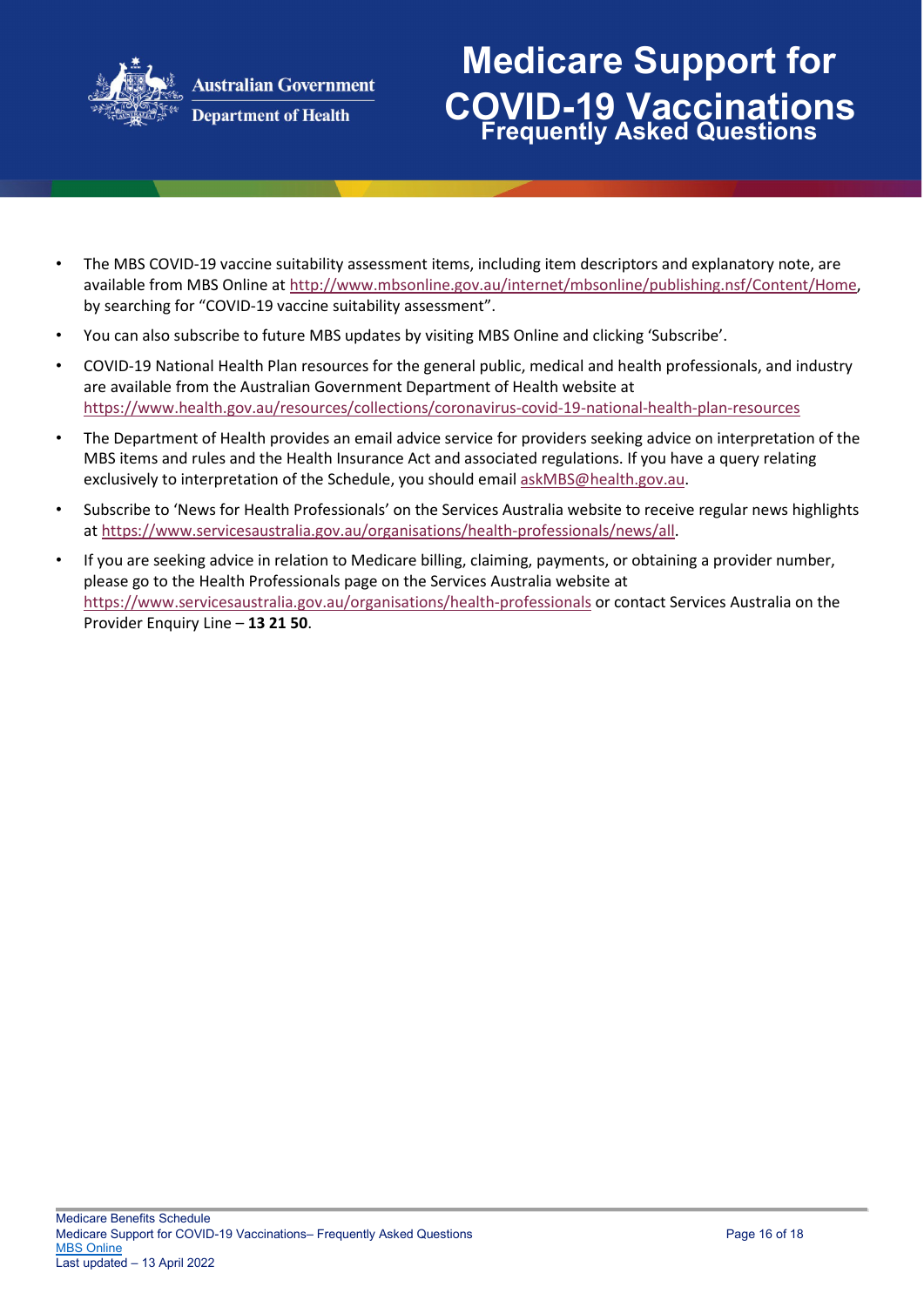

# **Medicare Support for COVID-19 Vaccinations Frequently Asked Questions**

- The MBS COVID-19 vaccine suitability assessment items, including item descriptors and explanatory note, are available from MBS Online at [http://www.mbsonline.gov.au/internet/mbsonline/publishing.nsf/Content/Home,](http://www.mbsonline.gov.au/internet/mbsonline/publishing.nsf/Content/Home) by searching for "COVID-19 vaccine suitability assessment".
- You can also subscribe to future MBS updates by visiting MBS Online and clicking 'Subscribe'.
- COVID-19 National Health Plan resources for the general public, medical and health professionals, and industry are available from the Australian Government Department of Health website at <https://www.health.gov.au/resources/collections/coronavirus-covid-19-national-health-plan-resources>
- The Department of Health provides an email advice service for providers seeking advice on interpretation of the MBS items and rules and the Health Insurance Act and associated regulations. If you have a query relating exclusively to interpretation of the Schedule, you should email askMBS@health.gov.au.
- Subscribe to 'News for Health Professionals' on the Services Australia website to receive regular news highlights at [https://www.servicesaustralia.gov.au/organisations/health-professionals/news/all.](https://www.servicesaustralia.gov.au/organisations/health-professionals/news/all)
- If you are seeking advice in relation to Medicare billing, claiming, payments, or obtaining a provider number, please go to the Health Professionals page on the Services Australia website at <https://www.servicesaustralia.gov.au/organisations/health-professionals> [o](https://www.servicesaustralia.gov.au/organisations/health-professionals)r contact Services Australia on the Provider Enquiry Line – **13 21 50**.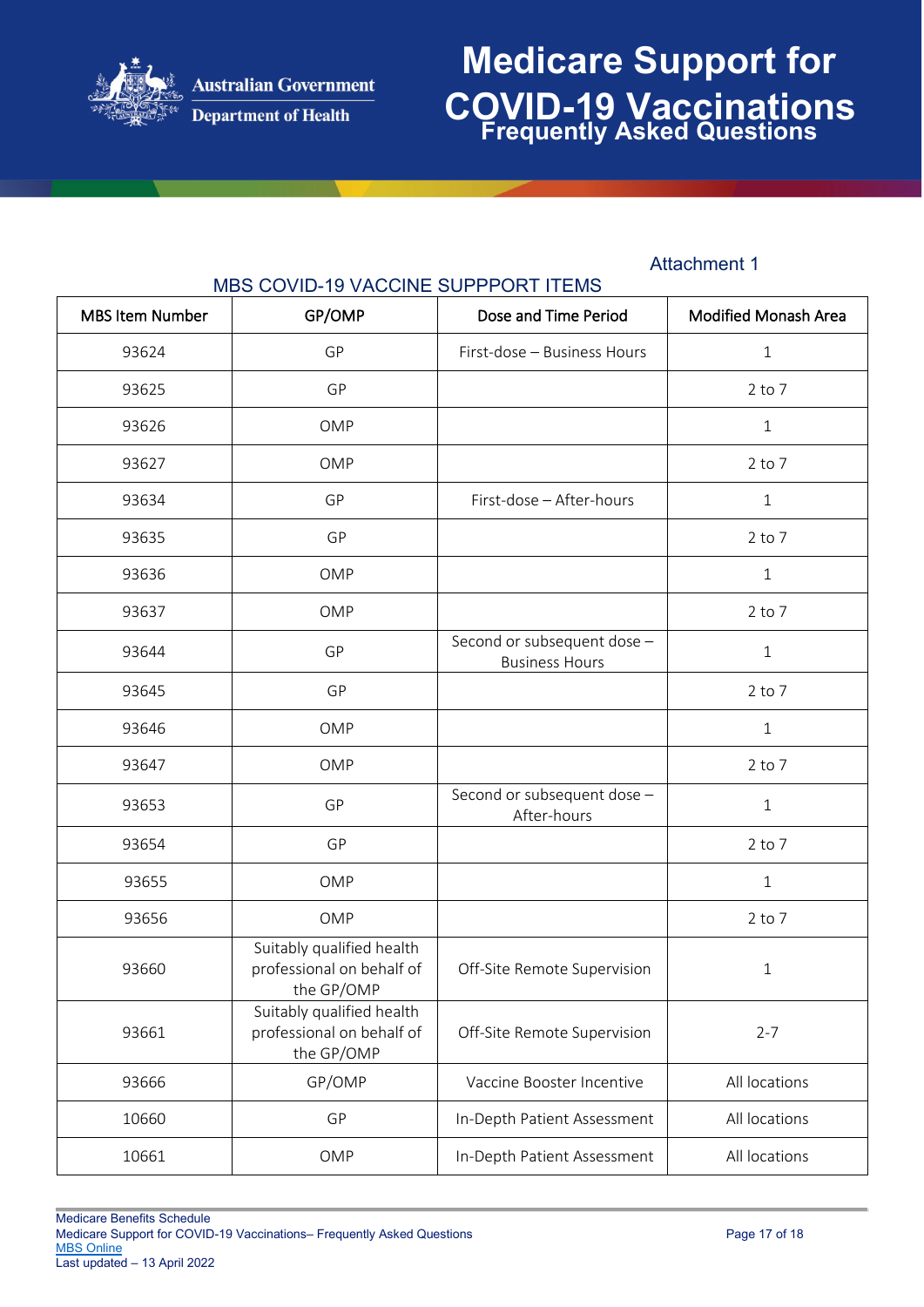

## **Medicare Support for COVID-19 Vaccinations Frequently Asked Questions**

### Attachment 1

| <b>MBS Item Number</b> | GP/OMP                                                               | Dose and Time Period                                 | <b>Modified Monash Area</b> |
|------------------------|----------------------------------------------------------------------|------------------------------------------------------|-----------------------------|
| 93624                  | GP                                                                   | First-dose - Business Hours                          | $\mathbf{1}$                |
| 93625                  | GP                                                                   |                                                      | $2$ to $7$                  |
| 93626                  | OMP                                                                  |                                                      | $\mathbf{1}$                |
| 93627                  | OMP                                                                  |                                                      | $2$ to $7$                  |
| 93634                  | GP                                                                   | First-dose - After-hours                             | $\mathbf 1$                 |
| 93635                  | GP                                                                   |                                                      | $2$ to $7$                  |
| 93636                  | OMP                                                                  |                                                      | $\mathbf 1$                 |
| 93637                  | OMP                                                                  |                                                      | $2$ to $7$                  |
| 93644                  | GP                                                                   | Second or subsequent dose -<br><b>Business Hours</b> | $\mathbf{1}$                |
| 93645                  | GP                                                                   |                                                      | $2$ to $7$                  |
| 93646                  | OMP                                                                  |                                                      | $\mathbf{1}$                |
| 93647                  | OMP                                                                  |                                                      | $2$ to $7$                  |
| 93653                  | GP                                                                   | Second or subsequent dose -<br>After-hours           | $\mathbf{1}$                |
| 93654                  | GP                                                                   |                                                      | $2$ to $7$                  |
| 93655                  | OMP                                                                  |                                                      | $\mathbf{1}$                |
| 93656                  | <b>OMP</b>                                                           |                                                      | $2$ to $7$                  |
| 93660                  | Suitably qualified health<br>professional on behalf of<br>the GP/OMP | Off-Site Remote Supervision                          | 1                           |
| 93661                  | Suitably qualified health<br>professional on behalf of<br>the GP/OMP | Off-Site Remote Supervision                          | $2 - 7$                     |
| 93666                  | GP/OMP                                                               | Vaccine Booster Incentive                            | All locations               |
| 10660                  | GP                                                                   | In-Depth Patient Assessment                          | All locations               |
| 10661                  | OMP                                                                  | In-Depth Patient Assessment                          | All locations               |